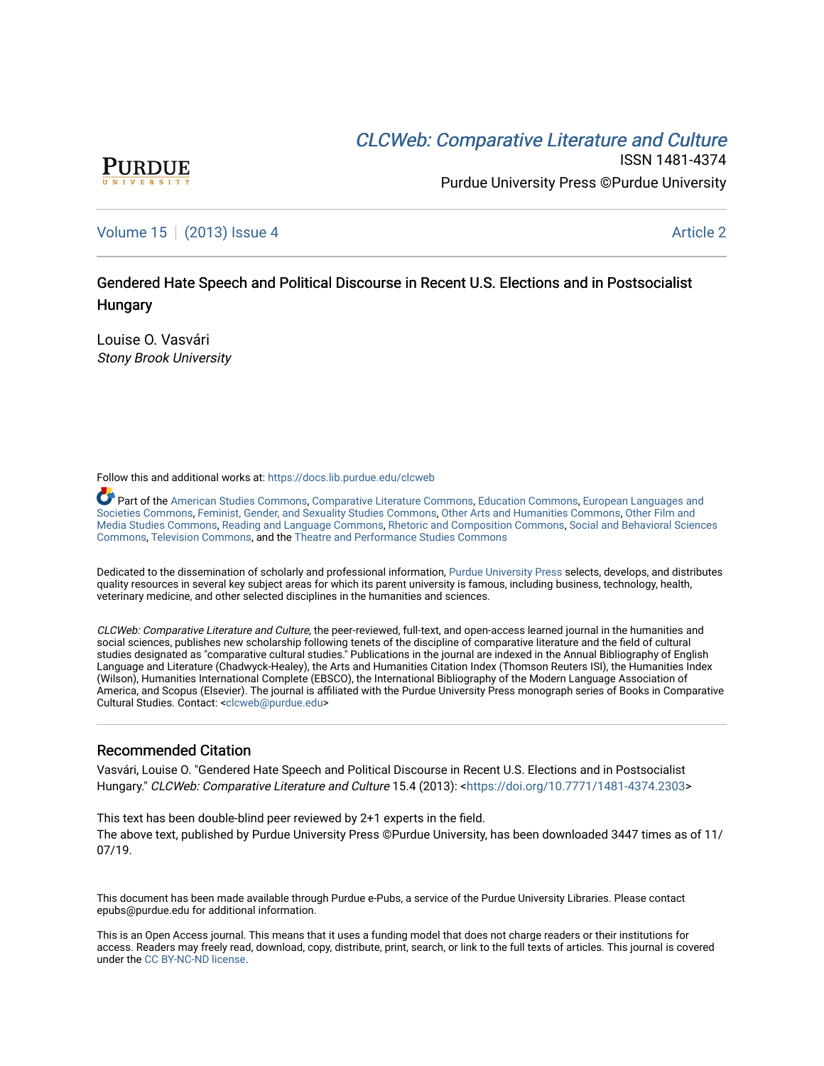# CLCW[eb: Comparative Liter](https://docs.lib.purdue.edu/clcweb)ature and Culture



ISSN 1481-4374 Purdue University Press ©Purdue University

### [Volume 15](https://docs.lib.purdue.edu/clcweb/vol15) | [\(2013\) Issue 4](https://docs.lib.purdue.edu/clcweb/vol15/iss4) Article 2

## Gendered Hate Speech and Political Discourse in Recent U.S. Elections and in Postsocialist **Hungary**

Louise O. Vasvári Stony Brook University

Follow this and additional works at: [https://docs.lib.purdue.edu/clcweb](https://docs.lib.purdue.edu/clcweb?utm_source=docs.lib.purdue.edu%2Fclcweb%2Fvol15%2Fiss4%2F2&utm_medium=PDF&utm_campaign=PDFCoverPages)

Part of the [American Studies Commons](http://network.bepress.com/hgg/discipline/439?utm_source=docs.lib.purdue.edu%2Fclcweb%2Fvol15%2Fiss4%2F2&utm_medium=PDF&utm_campaign=PDFCoverPages), [Comparative Literature Commons,](http://network.bepress.com/hgg/discipline/454?utm_source=docs.lib.purdue.edu%2Fclcweb%2Fvol15%2Fiss4%2F2&utm_medium=PDF&utm_campaign=PDFCoverPages) [Education Commons,](http://network.bepress.com/hgg/discipline/784?utm_source=docs.lib.purdue.edu%2Fclcweb%2Fvol15%2Fiss4%2F2&utm_medium=PDF&utm_campaign=PDFCoverPages) [European Languages and](http://network.bepress.com/hgg/discipline/482?utm_source=docs.lib.purdue.edu%2Fclcweb%2Fvol15%2Fiss4%2F2&utm_medium=PDF&utm_campaign=PDFCoverPages) [Societies Commons](http://network.bepress.com/hgg/discipline/482?utm_source=docs.lib.purdue.edu%2Fclcweb%2Fvol15%2Fiss4%2F2&utm_medium=PDF&utm_campaign=PDFCoverPages), [Feminist, Gender, and Sexuality Studies Commons,](http://network.bepress.com/hgg/discipline/559?utm_source=docs.lib.purdue.edu%2Fclcweb%2Fvol15%2Fiss4%2F2&utm_medium=PDF&utm_campaign=PDFCoverPages) [Other Arts and Humanities Commons](http://network.bepress.com/hgg/discipline/577?utm_source=docs.lib.purdue.edu%2Fclcweb%2Fvol15%2Fiss4%2F2&utm_medium=PDF&utm_campaign=PDFCoverPages), [Other Film and](http://network.bepress.com/hgg/discipline/565?utm_source=docs.lib.purdue.edu%2Fclcweb%2Fvol15%2Fiss4%2F2&utm_medium=PDF&utm_campaign=PDFCoverPages)  [Media Studies Commons](http://network.bepress.com/hgg/discipline/565?utm_source=docs.lib.purdue.edu%2Fclcweb%2Fvol15%2Fiss4%2F2&utm_medium=PDF&utm_campaign=PDFCoverPages), [Reading and Language Commons](http://network.bepress.com/hgg/discipline/1037?utm_source=docs.lib.purdue.edu%2Fclcweb%2Fvol15%2Fiss4%2F2&utm_medium=PDF&utm_campaign=PDFCoverPages), [Rhetoric and Composition Commons,](http://network.bepress.com/hgg/discipline/573?utm_source=docs.lib.purdue.edu%2Fclcweb%2Fvol15%2Fiss4%2F2&utm_medium=PDF&utm_campaign=PDFCoverPages) [Social and Behavioral Sciences](http://network.bepress.com/hgg/discipline/316?utm_source=docs.lib.purdue.edu%2Fclcweb%2Fvol15%2Fiss4%2F2&utm_medium=PDF&utm_campaign=PDFCoverPages) [Commons,](http://network.bepress.com/hgg/discipline/316?utm_source=docs.lib.purdue.edu%2Fclcweb%2Fvol15%2Fiss4%2F2&utm_medium=PDF&utm_campaign=PDFCoverPages) [Television Commons,](http://network.bepress.com/hgg/discipline/1143?utm_source=docs.lib.purdue.edu%2Fclcweb%2Fvol15%2Fiss4%2F2&utm_medium=PDF&utm_campaign=PDFCoverPages) and the [Theatre and Performance Studies Commons](http://network.bepress.com/hgg/discipline/552?utm_source=docs.lib.purdue.edu%2Fclcweb%2Fvol15%2Fiss4%2F2&utm_medium=PDF&utm_campaign=PDFCoverPages)

Dedicated to the dissemination of scholarly and professional information, [Purdue University Press](http://www.thepress.purdue.edu/) selects, develops, and distributes quality resources in several key subject areas for which its parent university is famous, including business, technology, health, veterinary medicine, and other selected disciplines in the humanities and sciences.

CLCWeb: Comparative Literature and Culture, the peer-reviewed, full-text, and open-access learned journal in the humanities and social sciences, publishes new scholarship following tenets of the discipline of comparative literature and the field of cultural studies designated as "comparative cultural studies." Publications in the journal are indexed in the Annual Bibliography of English Language and Literature (Chadwyck-Healey), the Arts and Humanities Citation Index (Thomson Reuters ISI), the Humanities Index (Wilson), Humanities International Complete (EBSCO), the International Bibliography of the Modern Language Association of America, and Scopus (Elsevier). The journal is affiliated with the Purdue University Press monograph series of Books in Comparative Cultural Studies. Contact: [<clcweb@purdue.edu](mailto:clcweb@purdue.edu)>

#### Recommended Citation

Vasvári, Louise O. "Gendered Hate Speech and Political Discourse in Recent U.S. Elections and in Postsocialist Hungary." CLCWeb: Comparative Literature and Culture 15.4 (2013): <<https://doi.org/10.7771/1481-4374.2303>>

This text has been double-blind peer reviewed by 2+1 experts in the field. The above text, published by Purdue University Press ©Purdue University, has been downloaded 3447 times as of 11/ 07/19.

This document has been made available through Purdue e-Pubs, a service of the Purdue University Libraries. Please contact epubs@purdue.edu for additional information.

This is an Open Access journal. This means that it uses a funding model that does not charge readers or their institutions for access. Readers may freely read, download, copy, distribute, print, search, or link to the full texts of articles. This journal is covered under the [CC BY-NC-ND license.](https://creativecommons.org/licenses/by-nc-nd/4.0/)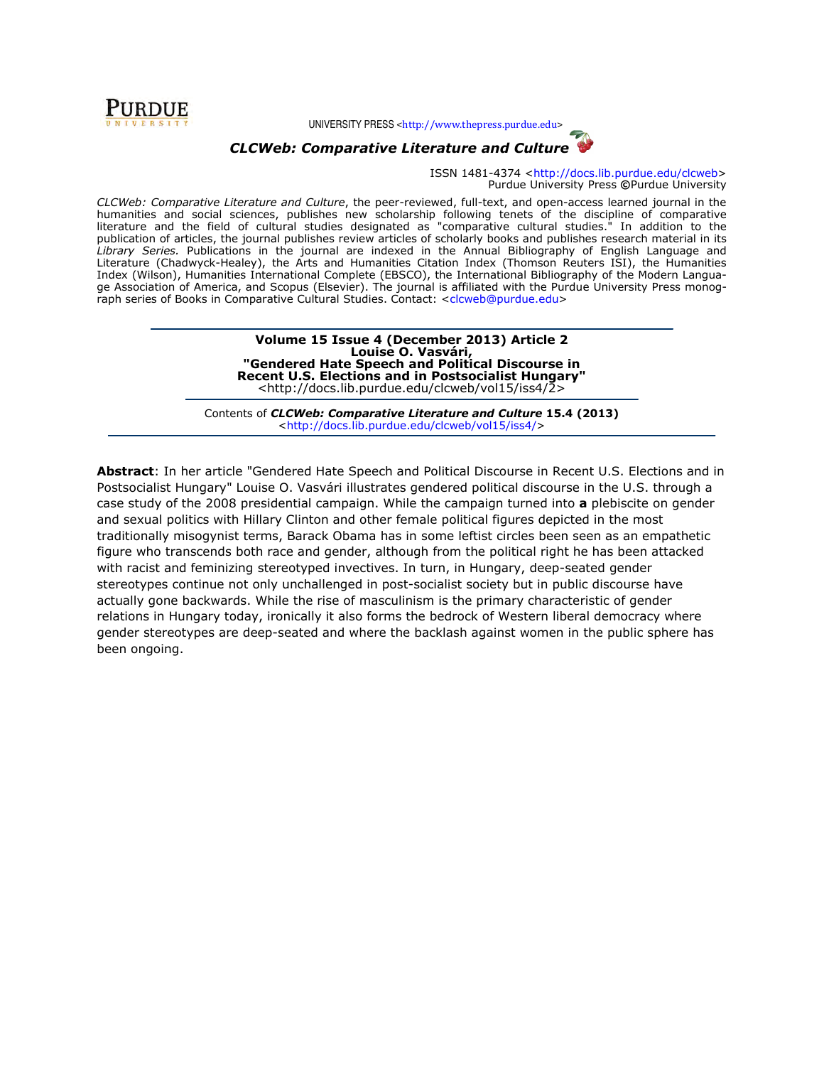

UNIVERSITY PRESS <http://www.thepress.purdue.edu>



CLCWeb: Comparative Literature and Culture

ISSN 1481-4374 <http://docs.lib.purdue.edu/clcweb> Purdue University Press ©Purdue University

CLCWeb: Comparative Literature and Culture, the peer-reviewed, full-text, and open-access learned journal in the humanities and social sciences, publishes new scholarship following tenets of the discipline of comparative literature and the field of cultural studies designated as "comparative cultural studies." In addition to the publication of articles, the journal publishes review articles of scholarly books and publishes research material in its Library Series. Publications in the journal are indexed in the Annual Bibliography of English Language and Literature (Chadwyck-Healey), the Arts and Humanities Citation Index (Thomson Reuters ISI), the Humanities Index (Wilson), Humanities International Complete (EBSCO), the International Bibliography of the Modern Language Association of America, and Scopus (Elsevier). The journal is affiliated with the Purdue University Press monograph series of Books in Comparative Cultural Studies. Contact: <clcweb@purdue.edu>

> Volume 15 Issue 4 (December 2013) Article 2 Louise O. Vasvári, "Gendered Hate Speech and Political Discourse in Recent U.S. Elections and in Postsocialist Hungary" <http://docs.lib.purdue.edu/clcweb/vol15/iss4/2>

Contents of CLCWeb: Comparative Literature and Culture 15.4 (2013) <http://docs.lib.purdue.edu/clcweb/vol15/iss4/>

Abstract: In her article "Gendered Hate Speech and Political Discourse in Recent U.S. Elections and in Postsocialist Hungary" Louise O. Vasvári illustrates gendered political discourse in the U.S. through a case study of the 2008 presidential campaign. While the campaign turned into a plebiscite on gender and sexual politics with Hillary Clinton and other female political figures depicted in the most traditionally misogynist terms, Barack Obama has in some leftist circles been seen as an empathetic figure who transcends both race and gender, although from the political right he has been attacked with racist and feminizing stereotyped invectives. In turn, in Hungary, deep-seated gender stereotypes continue not only unchallenged in post-socialist society but in public discourse have actually gone backwards. While the rise of masculinism is the primary characteristic of gender relations in Hungary today, ironically it also forms the bedrock of Western liberal democracy where gender stereotypes are deep-seated and where the backlash against women in the public sphere has been ongoing.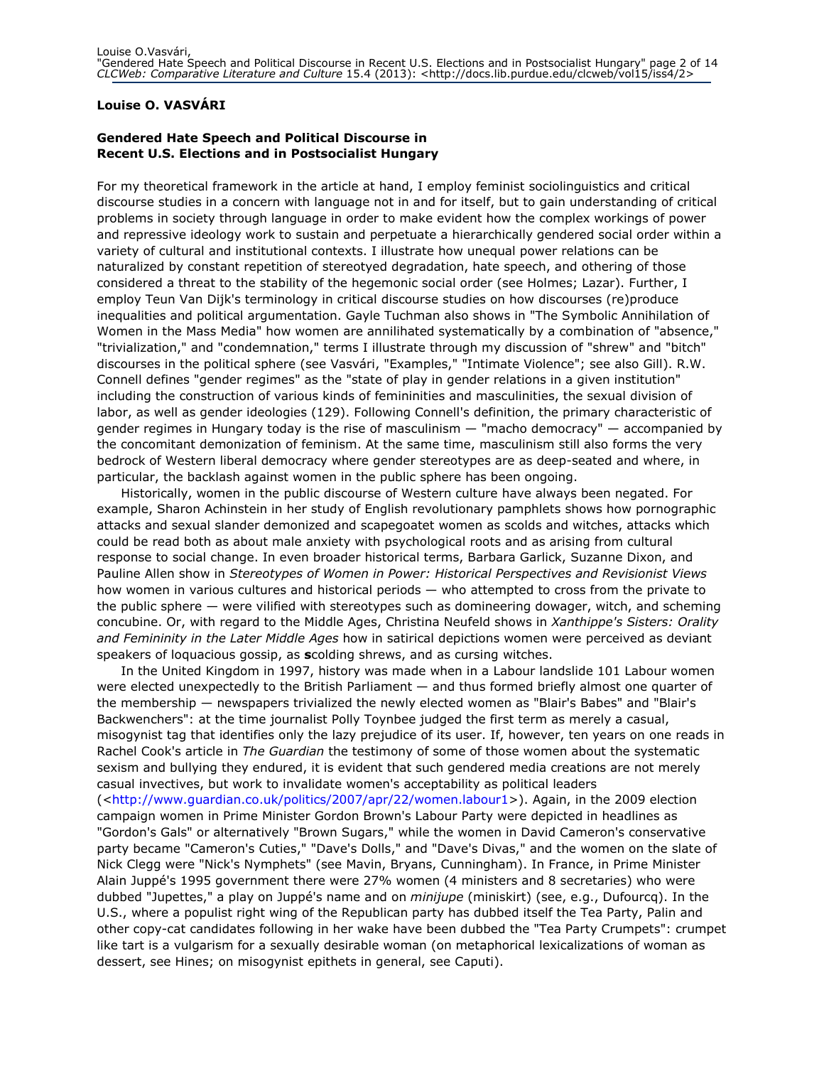#### Louise O. VASVÁRI

#### Gendered Hate Speech and Political Discourse in Recent U.S. Elections and in Postsocialist Hungary

For my theoretical framework in the article at hand, I employ feminist sociolinguistics and critical discourse studies in a concern with language not in and for itself, but to gain understanding of critical problems in society through language in order to make evident how the complex workings of power and repressive ideology work to sustain and perpetuate a hierarchically gendered social order within a variety of cultural and institutional contexts. I illustrate how unequal power relations can be naturalized by constant repetition of stereotyed degradation, hate speech, and othering of those considered a threat to the stability of the hegemonic social order (see Holmes; Lazar). Further, I employ Teun Van Dijk's terminology in critical discourse studies on how discourses (re)produce inequalities and political argumentation. Gayle Tuchman also shows in "The Symbolic Annihilation of Women in the Mass Media" how women are annilihated systematically by a combination of "absence," "trivialization," and "condemnation," terms I illustrate through my discussion of "shrew" and "bitch" discourses in the political sphere (see Vasvári, "Examples," "Intimate Violence"; see also Gill). R.W. Connell defines "gender regimes" as the "state of play in gender relations in a given institution" including the construction of various kinds of femininities and masculinities, the sexual division of labor, as well as gender ideologies (129). Following Connell's definition, the primary characteristic of gender regimes in Hungary today is the rise of masculinism — "macho democracy" — accompanied by the concomitant demonization of feminism. At the same time, masculinism still also forms the very bedrock of Western liberal democracy where gender stereotypes are as deep-seated and where, in particular, the backlash against women in the public sphere has been ongoing.

Historically, women in the public discourse of Western culture have always been negated. For example, Sharon Achinstein in her study of English revolutionary pamphlets shows how pornographic attacks and sexual slander demonized and scapegoatet women as scolds and witches, attacks which could be read both as about male anxiety with psychological roots and as arising from cultural response to social change. In even broader historical terms, Barbara Garlick, Suzanne Dixon, and Pauline Allen show in Stereotypes of Women in Power: Historical Perspectives and Revisionist Views how women in various cultures and historical periods — who attempted to cross from the private to the public sphere — were vilified with stereotypes such as domineering dowager, witch, and scheming concubine. Or, with regard to the Middle Ages, Christina Neufeld shows in Xanthippe's Sisters: Orality and Femininity in the Later Middle Ages how in satirical depictions women were perceived as deviant speakers of loquacious gossip, as scolding shrews, and as cursing witches.

In the United Kingdom in 1997, history was made when in a Labour landslide 101 Labour women were elected unexpectedly to the British Parliament — and thus formed briefly almost one quarter of the membership — newspapers trivialized the newly elected women as "Blair's Babes" and "Blair's Backwenchers": at the time journalist Polly Toynbee judged the first term as merely a casual, misogynist tag that identifies only the lazy prejudice of its user. If, however, ten years on one reads in Rachel Cook's article in *The Guardian* the testimony of some of those women about the systematic sexism and bullying they endured, it is evident that such gendered media creations are not merely casual invectives, but work to invalidate women's acceptability as political leaders (<http://www.guardian.co.uk/politics/2007/apr/22/women.labour1>). Again, in the 2009 election campaign women in Prime Minister Gordon Brown's Labour Party were depicted in headlines as "Gordon's Gals" or alternatively "Brown Sugars," while the women in David Cameron's conservative party became "Cameron's Cuties," "Dave's Dolls," and "Dave's Divas," and the women on the slate of Nick Clegg were "Nick's Nymphets" (see Mavin, Bryans, Cunningham). In France, in Prime Minister Alain Juppé's 1995 government there were 27% women (4 ministers and 8 secretaries) who were dubbed "Jupettes," a play on Juppé's name and on *minijupe* (miniskirt) (see, e.g., Dufourcq). In the U.S., where a populist right wing of the Republican party has dubbed itself the Tea Party, Palin and other copy-cat candidates following in her wake have been dubbed the "Tea Party Crumpets": crumpet like tart is a vulgarism for a sexually desirable woman (on metaphorical lexicalizations of woman as dessert, see Hines; on misogynist epithets in general, see Caputi).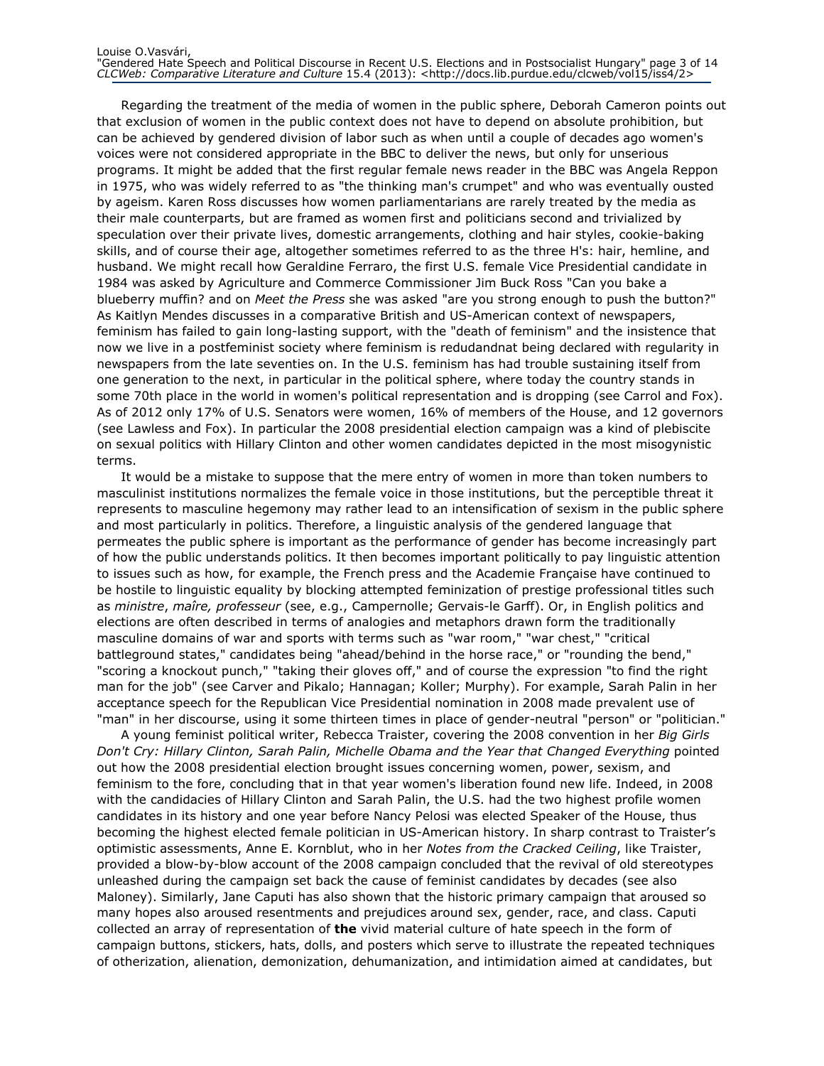Regarding the treatment of the media of women in the public sphere, Deborah Cameron points out that exclusion of women in the public context does not have to depend on absolute prohibition, but can be achieved by gendered division of labor such as when until a couple of decades ago women's voices were not considered appropriate in the BBC to deliver the news, but only for unserious programs. It might be added that the first regular female news reader in the BBC was Angela Reppon in 1975, who was widely referred to as "the thinking man's crumpet" and who was eventually ousted by ageism. Karen Ross discusses how women parliamentarians are rarely treated by the media as their male counterparts, but are framed as women first and politicians second and trivialized by speculation over their private lives, domestic arrangements, clothing and hair styles, cookie-baking skills, and of course their age, altogether sometimes referred to as the three H's: hair, hemline, and husband. We might recall how Geraldine Ferraro, the first U.S. female Vice Presidential candidate in 1984 was asked by Agriculture and Commerce Commissioner Jim Buck Ross "Can you bake a blueberry muffin? and on Meet the Press she was asked "are you strong enough to push the button?" As Kaitlyn Mendes discusses in a comparative British and US-American context of newspapers, feminism has failed to gain long-lasting support, with the "death of feminism" and the insistence that now we live in a postfeminist society where feminism is redudandnat being declared with regularity in newspapers from the late seventies on. In the U.S. feminism has had trouble sustaining itself from one generation to the next, in particular in the political sphere, where today the country stands in some 70th place in the world in women's political representation and is dropping (see Carrol and Fox). As of 2012 only 17% of U.S. Senators were women, 16% of members of the House, and 12 governors (see Lawless and Fox). In particular the 2008 presidential election campaign was a kind of plebiscite on sexual politics with Hillary Clinton and other women candidates depicted in the most misogynistic terms.

It would be a mistake to suppose that the mere entry of women in more than token numbers to masculinist institutions normalizes the female voice in those institutions, but the perceptible threat it represents to masculine hegemony may rather lead to an intensification of sexism in the public sphere and most particularly in politics. Therefore, a linguistic analysis of the gendered language that permeates the public sphere is important as the performance of gender has become increasingly part of how the public understands politics. It then becomes important politically to pay linguistic attention to issues such as how, for example, the French press and the Academie Française have continued to be hostile to linguistic equality by blocking attempted feminization of prestige professional titles such as ministre, maîre, professeur (see, e.g., Campernolle; Gervais-le Garff). Or, in English politics and elections are often described in terms of analogies and metaphors drawn form the traditionally masculine domains of war and sports with terms such as "war room," "war chest," "critical battleground states," candidates being "ahead/behind in the horse race," or "rounding the bend," "scoring a knockout punch," "taking their gloves off," and of course the expression "to find the right man for the job" (see Carver and Pikalo; Hannagan; Koller; Murphy). For example, Sarah Palin in her acceptance speech for the Republican Vice Presidential nomination in 2008 made prevalent use of "man" in her discourse, using it some thirteen times in place of gender-neutral "person" or "politician."

A young feminist political writer, Rebecca Traister, covering the 2008 convention in her Big Girls Don't Cry: Hillary Clinton, Sarah Palin, Michelle Obama and the Year that Changed Everything pointed out how the 2008 presidential election brought issues concerning women, power, sexism, and feminism to the fore, concluding that in that year women's liberation found new life. Indeed, in 2008 with the candidacies of Hillary Clinton and Sarah Palin, the U.S. had the two highest profile women candidates in its history and one year before Nancy Pelosi was elected Speaker of the House, thus becoming the highest elected female politician in US-American history. In sharp contrast to Traister's optimistic assessments, Anne E. Kornblut, who in her Notes from the Cracked Ceiling, like Traister, provided a blow-by-blow account of the 2008 campaign concluded that the revival of old stereotypes unleashed during the campaign set back the cause of feminist candidates by decades (see also Maloney). Similarly, Jane Caputi has also shown that the historic primary campaign that aroused so many hopes also aroused resentments and prejudices around sex, gender, race, and class. Caputi collected an array of representation of the vivid material culture of hate speech in the form of campaign buttons, stickers, hats, dolls, and posters which serve to illustrate the repeated techniques of otherization, alienation, demonization, dehumanization, and intimidation aimed at candidates, but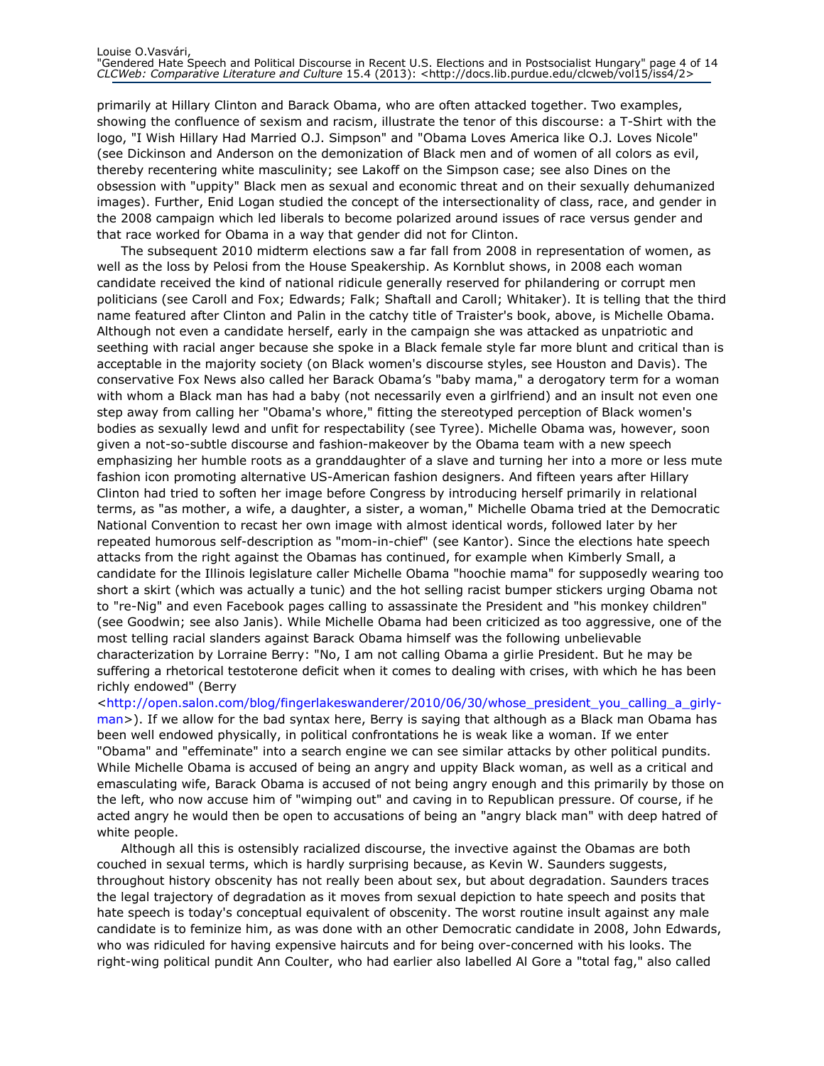primarily at Hillary Clinton and Barack Obama, who are often attacked together. Two examples, showing the confluence of sexism and racism, illustrate the tenor of this discourse: a T-Shirt with the logo, "I Wish Hillary Had Married O.J. Simpson" and "Obama Loves America like O.J. Loves Nicole" (see Dickinson and Anderson on the demonization of Black men and of women of all colors as evil, thereby recentering white masculinity; see Lakoff on the Simpson case; see also Dines on the obsession with "uppity" Black men as sexual and economic threat and on their sexually dehumanized images). Further, Enid Logan studied the concept of the intersectionality of class, race, and gender in the 2008 campaign which led liberals to become polarized around issues of race versus gender and that race worked for Obama in a way that gender did not for Clinton.

The subsequent 2010 midterm elections saw a far fall from 2008 in representation of women, as well as the loss by Pelosi from the House Speakership. As Kornblut shows, in 2008 each woman candidate received the kind of national ridicule generally reserved for philandering or corrupt men politicians (see Caroll and Fox; Edwards; Falk; Shaftall and Caroll; Whitaker). It is telling that the third name featured after Clinton and Palin in the catchy title of Traister's book, above, is Michelle Obama. Although not even a candidate herself, early in the campaign she was attacked as unpatriotic and seething with racial anger because she spoke in a Black female style far more blunt and critical than is acceptable in the majority society (on Black women's discourse styles, see Houston and Davis). The conservative Fox News also called her Barack Obama's "baby mama," a derogatory term for a woman with whom a Black man has had a baby (not necessarily even a girlfriend) and an insult not even one step away from calling her "Obama's whore," fitting the stereotyped perception of Black women's bodies as sexually lewd and unfit for respectability (see Tyree). Michelle Obama was, however, soon given a not-so-subtle discourse and fashion-makeover by the Obama team with a new speech emphasizing her humble roots as a granddaughter of a slave and turning her into a more or less mute fashion icon promoting alternative US-American fashion designers. And fifteen years after Hillary Clinton had tried to soften her image before Congress by introducing herself primarily in relational terms, as "as mother, a wife, a daughter, a sister, a woman," Michelle Obama tried at the Democratic National Convention to recast her own image with almost identical words, followed later by her repeated humorous self-description as "mom-in-chief" (see Kantor). Since the elections hate speech attacks from the right against the Obamas has continued, for example when Kimberly Small, a candidate for the Illinois legislature caller Michelle Obama "hoochie mama" for supposedly wearing too short a skirt (which was actually a tunic) and the hot selling racist bumper stickers urging Obama not to "re-Nig" and even Facebook pages calling to assassinate the President and "his monkey children" (see Goodwin; see also Janis). While Michelle Obama had been criticized as too aggressive, one of the most telling racial slanders against Barack Obama himself was the following unbelievable characterization by Lorraine Berry: "No, I am not calling Obama a girlie President. But he may be suffering a rhetorical testoterone deficit when it comes to dealing with crises, with which he has been richly endowed" (Berry

<http://open.salon.com/blog/fingerlakeswanderer/2010/06/30/whose\_president\_you\_calling\_a\_girlyman>). If we allow for the bad syntax here, Berry is saying that although as a Black man Obama has been well endowed physically, in political confrontations he is weak like a woman. If we enter "Obama" and "effeminate" into a search engine we can see similar attacks by other political pundits. While Michelle Obama is accused of being an angry and uppity Black woman, as well as a critical and emasculating wife, Barack Obama is accused of not being angry enough and this primarily by those on the left, who now accuse him of "wimping out" and caving in to Republican pressure. Of course, if he acted angry he would then be open to accusations of being an "angry black man" with deep hatred of white people.

Although all this is ostensibly racialized discourse, the invective against the Obamas are both couched in sexual terms, which is hardly surprising because, as Kevin W. Saunders suggests, throughout history obscenity has not really been about sex, but about degradation. Saunders traces the legal trajectory of degradation as it moves from sexual depiction to hate speech and posits that hate speech is today's conceptual equivalent of obscenity. The worst routine insult against any male candidate is to feminize him, as was done with an other Democratic candidate in 2008, John Edwards, who was ridiculed for having expensive haircuts and for being over-concerned with his looks. The right-wing political pundit Ann Coulter, who had earlier also labelled Al Gore a "total fag," also called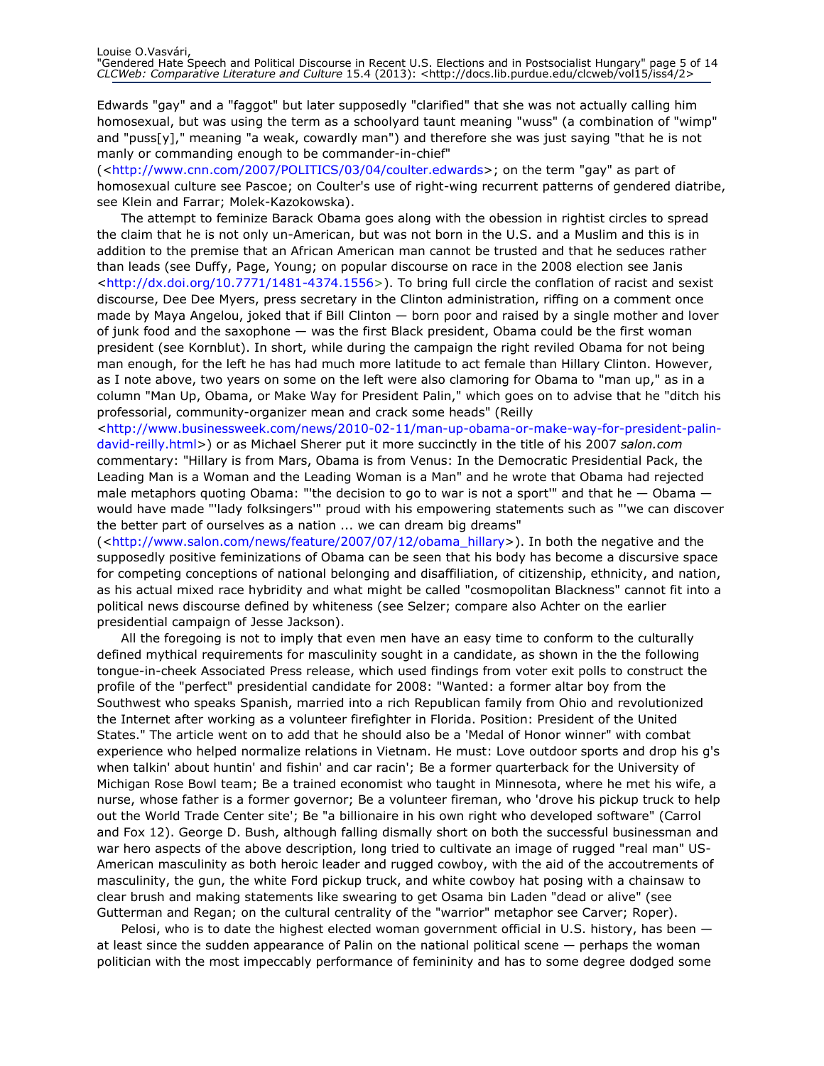Edwards "gay" and a "faggot" but later supposedly "clarified" that she was not actually calling him homosexual, but was using the term as a schoolyard taunt meaning "wuss" (a combination of "wimp" and "puss[y]," meaning "a weak, cowardly man") and therefore she was just saying "that he is not manly or commanding enough to be commander-in-chief"

(<http://www.cnn.com/2007/POLITICS/03/04/coulter.edwards>; on the term "gay" as part of homosexual culture see Pascoe; on Coulter's use of right-wing recurrent patterns of gendered diatribe, see Klein and Farrar; Molek-Kazokowska).

The attempt to feminize Barack Obama goes along with the obession in rightist circles to spread the claim that he is not only un-American, but was not born in the U.S. and a Muslim and this is in addition to the premise that an African American man cannot be trusted and that he seduces rather than leads (see Duffy, Page, Young; on popular discourse on race in the 2008 election see Janis <http://dx.doi.org/10.7771/1481-4374.1556>). To bring full circle the conflation of racist and sexist discourse, Dee Dee Myers, press secretary in the Clinton administration, riffing on a comment once made by Maya Angelou, joked that if Bill Clinton — born poor and raised by a single mother and lover of junk food and the saxophone — was the first Black president, Obama could be the first woman president (see Kornblut). In short, while during the campaign the right reviled Obama for not being man enough, for the left he has had much more latitude to act female than Hillary Clinton. However, as I note above, two years on some on the left were also clamoring for Obama to "man up," as in a column "Man Up, Obama, or Make Way for President Palin," which goes on to advise that he "ditch his professorial, community-organizer mean and crack some heads" (Reilly

<http://www.businessweek.com/news/2010-02-11/man-up-obama-or-make-way-for-president-palindavid-reilly.html>) or as Michael Sherer put it more succinctly in the title of his 2007 salon.com commentary: "Hillary is from Mars, Obama is from Venus: In the Democratic Presidential Pack, the Leading Man is a Woman and the Leading Woman is a Man" and he wrote that Obama had rejected male metaphors quoting Obama: "'the decision to go to war is not a sport'" and that he  $-$  Obama  $$ would have made "'lady folksingers'" proud with his empowering statements such as "'we can discover the better part of ourselves as a nation ... we can dream big dreams"

(<http://www.salon.com/news/feature/2007/07/12/obama\_hillary>). In both the negative and the supposedly positive feminizations of Obama can be seen that his body has become a discursive space for competing conceptions of national belonging and disaffiliation, of citizenship, ethnicity, and nation, as his actual mixed race hybridity and what might be called "cosmopolitan Blackness" cannot fit into a political news discourse defined by whiteness (see Selzer; compare also Achter on the earlier presidential campaign of Jesse Jackson).

All the foregoing is not to imply that even men have an easy time to conform to the culturally defined mythical requirements for masculinity sought in a candidate, as shown in the the following tongue-in-cheek Associated Press release, which used findings from voter exit polls to construct the profile of the "perfect" presidential candidate for 2008: "Wanted: a former altar boy from the Southwest who speaks Spanish, married into a rich Republican family from Ohio and revolutionized the Internet after working as a volunteer firefighter in Florida. Position: President of the United States." The article went on to add that he should also be a 'Medal of Honor winner" with combat experience who helped normalize relations in Vietnam. He must: Love outdoor sports and drop his g's when talkin' about huntin' and fishin' and car racin'; Be a former quarterback for the University of Michigan Rose Bowl team; Be a trained economist who taught in Minnesota, where he met his wife, a nurse, whose father is a former governor; Be a volunteer fireman, who 'drove his pickup truck to help out the World Trade Center site'; Be "a billionaire in his own right who developed software" (Carrol and Fox 12). George D. Bush, although falling dismally short on both the successful businessman and war hero aspects of the above description, long tried to cultivate an image of rugged "real man" US-American masculinity as both heroic leader and rugged cowboy, with the aid of the accoutrements of masculinity, the gun, the white Ford pickup truck, and white cowboy hat posing with a chainsaw to clear brush and making statements like swearing to get Osama bin Laden "dead or alive" (see Gutterman and Regan; on the cultural centrality of the "warrior" metaphor see Carver; Roper).

Pelosi, who is to date the highest elected woman government official in U.S. history, has been  $$ at least since the sudden appearance of Palin on the national political scene — perhaps the woman politician with the most impeccably performance of femininity and has to some degree dodged some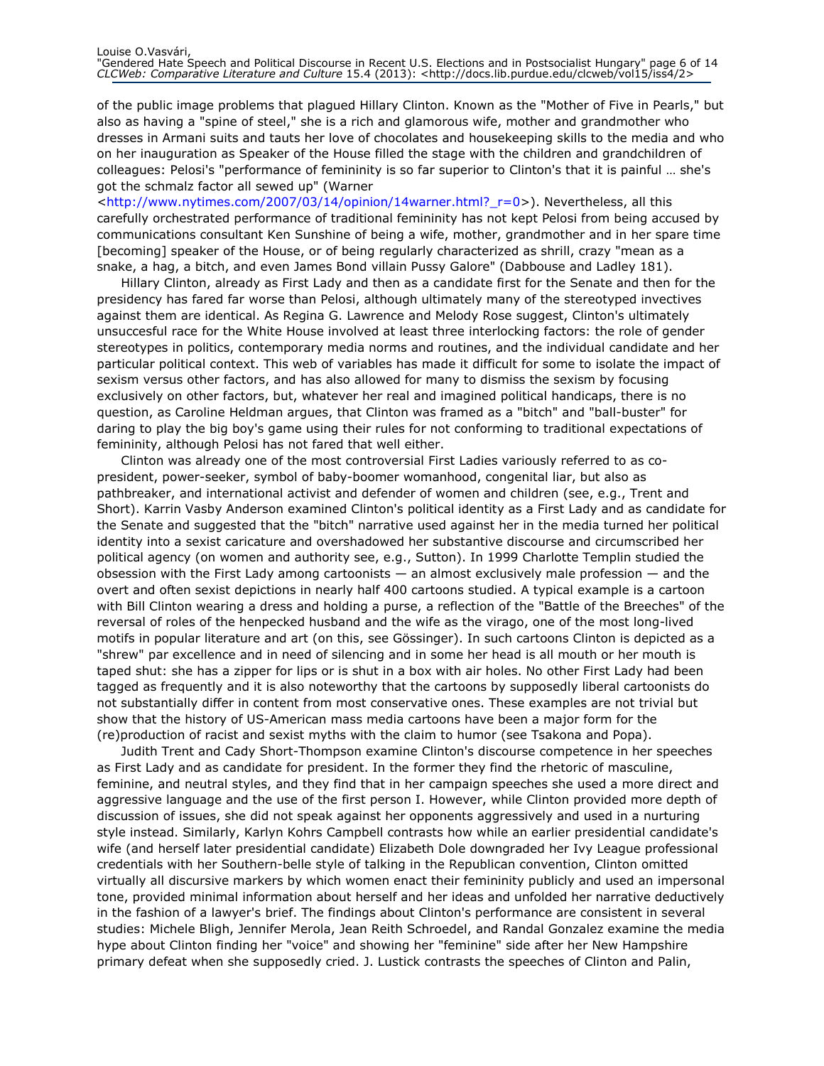of the public image problems that plagued Hillary Clinton. Known as the "Mother of Five in Pearls," but also as having a "spine of steel," she is a rich and glamorous wife, mother and grandmother who dresses in Armani suits and tauts her love of chocolates and housekeeping skills to the media and who on her inauguration as Speaker of the House filled the stage with the children and grandchildren of colleagues: Pelosi's "performance of femininity is so far superior to Clinton's that it is painful … she's got the schmalz factor all sewed up" (Warner

<http://www.nytimes.com/2007/03/14/opinion/14warner.html?\_r=0>). Nevertheless, all this carefully orchestrated performance of traditional femininity has not kept Pelosi from being accused by communications consultant Ken Sunshine of being a wife, mother, grandmother and in her spare time [becoming] speaker of the House, or of being regularly characterized as shrill, crazy "mean as a snake, a hag, a bitch, and even James Bond villain Pussy Galore" (Dabbouse and Ladley 181).

Hillary Clinton, already as First Lady and then as a candidate first for the Senate and then for the presidency has fared far worse than Pelosi, although ultimately many of the stereotyped invectives against them are identical. As Regina G. Lawrence and Melody Rose suggest, Clinton's ultimately unsuccesful race for the White House involved at least three interlocking factors: the role of gender stereotypes in politics, contemporary media norms and routines, and the individual candidate and her particular political context. This web of variables has made it difficult for some to isolate the impact of sexism versus other factors, and has also allowed for many to dismiss the sexism by focusing exclusively on other factors, but, whatever her real and imagined political handicaps, there is no question, as Caroline Heldman argues, that Clinton was framed as a "bitch" and "ball-buster" for daring to play the big boy's game using their rules for not conforming to traditional expectations of femininity, although Pelosi has not fared that well either.

Clinton was already one of the most controversial First Ladies variously referred to as copresident, power-seeker, symbol of baby-boomer womanhood, congenital liar, but also as pathbreaker, and international activist and defender of women and children (see, e.g., Trent and Short). Karrin Vasby Anderson examined Clinton's political identity as a First Lady and as candidate for the Senate and suggested that the "bitch" narrative used against her in the media turned her political identity into a sexist caricature and overshadowed her substantive discourse and circumscribed her political agency (on women and authority see, e.g., Sutton). In 1999 Charlotte Templin studied the obsession with the First Lady among cartoonists — an almost exclusively male profession — and the overt and often sexist depictions in nearly half 400 cartoons studied. A typical example is a cartoon with Bill Clinton wearing a dress and holding a purse, a reflection of the "Battle of the Breeches" of the reversal of roles of the henpecked husband and the wife as the virago, one of the most long-lived motifs in popular literature and art (on this, see Gössinger). In such cartoons Clinton is depicted as a "shrew" par excellence and in need of silencing and in some her head is all mouth or her mouth is taped shut: she has a zipper for lips or is shut in a box with air holes. No other First Lady had been tagged as frequently and it is also noteworthy that the cartoons by supposedly liberal cartoonists do not substantially differ in content from most conservative ones. These examples are not trivial but show that the history of US-American mass media cartoons have been a major form for the (re)production of racist and sexist myths with the claim to humor (see Tsakona and Popa).

Judith Trent and Cady Short-Thompson examine Clinton's discourse competence in her speeches as First Lady and as candidate for president. In the former they find the rhetoric of masculine, feminine, and neutral styles, and they find that in her campaign speeches she used a more direct and aggressive language and the use of the first person I. However, while Clinton provided more depth of discussion of issues, she did not speak against her opponents aggressively and used in a nurturing style instead. Similarly, Karlyn Kohrs Campbell contrasts how while an earlier presidential candidate's wife (and herself later presidential candidate) Elizabeth Dole downgraded her Ivy League professional credentials with her Southern-belle style of talking in the Republican convention, Clinton omitted virtually all discursive markers by which women enact their femininity publicly and used an impersonal tone, provided minimal information about herself and her ideas and unfolded her narrative deductively in the fashion of a lawyer's brief. The findings about Clinton's performance are consistent in several studies: Michele Bligh, Jennifer Merola, Jean Reith Schroedel, and Randal Gonzalez examine the media hype about Clinton finding her "voice" and showing her "feminine" side after her New Hampshire primary defeat when she supposedly cried. J. Lustick contrasts the speeches of Clinton and Palin,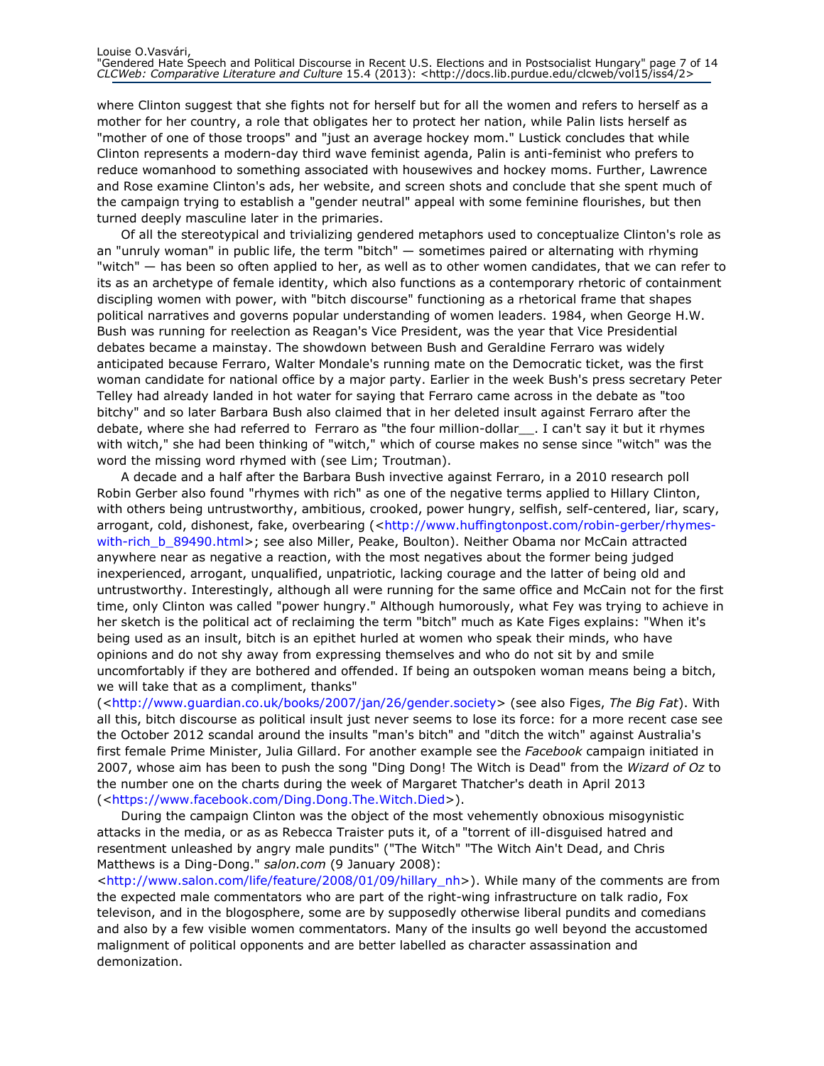where Clinton suggest that she fights not for herself but for all the women and refers to herself as a mother for her country, a role that obligates her to protect her nation, while Palin lists herself as "mother of one of those troops" and "just an average hockey mom." Lustick concludes that while Clinton represents a modern-day third wave feminist agenda, Palin is anti-feminist who prefers to reduce womanhood to something associated with housewives and hockey moms. Further, Lawrence and Rose examine Clinton's ads, her website, and screen shots and conclude that she spent much of the campaign trying to establish a "gender neutral" appeal with some feminine flourishes, but then turned deeply masculine later in the primaries.

Of all the stereotypical and trivializing gendered metaphors used to conceptualize Clinton's role as an "unruly woman" in public life, the term "bitch" — sometimes paired or alternating with rhyming "witch" — has been so often applied to her, as well as to other women candidates, that we can refer to its as an archetype of female identity, which also functions as a contemporary rhetoric of containment discipling women with power, with "bitch discourse" functioning as a rhetorical frame that shapes political narratives and governs popular understanding of women leaders. 1984, when George H.W. Bush was running for reelection as Reagan's Vice President, was the year that Vice Presidential debates became a mainstay. The showdown between Bush and Geraldine Ferraro was widely anticipated because Ferraro, Walter Mondale's running mate on the Democratic ticket, was the first woman candidate for national office by a major party. Earlier in the week Bush's press secretary Peter Telley had already landed in hot water for saying that Ferraro came across in the debate as "too bitchy" and so later Barbara Bush also claimed that in her deleted insult against Ferraro after the debate, where she had referred to Ferraro as "the four million-dollar\_\_. I can't say it but it rhymes with witch," she had been thinking of "witch," which of course makes no sense since "witch" was the word the missing word rhymed with (see Lim; Troutman).

A decade and a half after the Barbara Bush invective against Ferraro, in a 2010 research poll Robin Gerber also found "rhymes with rich" as one of the negative terms applied to Hillary Clinton, with others being untrustworthy, ambitious, crooked, power hungry, selfish, self-centered, liar, scary, arrogant, cold, dishonest, fake, overbearing (<http://www.huffingtonpost.com/robin-gerber/rhymeswith-rich\_b\_89490.html>; see also Miller, Peake, Boulton). Neither Obama nor McCain attracted anywhere near as negative a reaction, with the most negatives about the former being judged inexperienced, arrogant, unqualified, unpatriotic, lacking courage and the latter of being old and untrustworthy. Interestingly, although all were running for the same office and McCain not for the first time, only Clinton was called "power hungry." Although humorously, what Fey was trying to achieve in her sketch is the political act of reclaiming the term "bitch" much as Kate Figes explains: "When it's being used as an insult, bitch is an epithet hurled at women who speak their minds, who have opinions and do not shy away from expressing themselves and who do not sit by and smile uncomfortably if they are bothered and offended. If being an outspoken woman means being a bitch, we will take that as a compliment, thanks"

(<http://www.guardian.co.uk/books/2007/jan/26/gender.society> (see also Figes, The Big Fat). With all this, bitch discourse as political insult just never seems to lose its force: for a more recent case see the October 2012 scandal around the insults "man's bitch" and "ditch the witch" against Australia's first female Prime Minister, Julia Gillard. For another example see the Facebook campaign initiated in 2007, whose aim has been to push the song "Ding Dong! The Witch is Dead" from the Wizard of Oz to the number one on the charts during the week of Margaret Thatcher's death in April 2013 (<https://www.facebook.com/Ding.Dong.The.Witch.Died>).

During the campaign Clinton was the object of the most vehemently obnoxious misogynistic attacks in the media, or as as Rebecca Traister puts it, of a "torrent of ill-disguised hatred and resentment unleashed by angry male pundits" ("The Witch" "The Witch Ain't Dead, and Chris Matthews is a Ding-Dong." salon.com (9 January 2008):

<http://www.salon.com/life/feature/2008/01/09/hillary\_nh>). While many of the comments are from the expected male commentators who are part of the right-wing infrastructure on talk radio, Fox televison, and in the blogosphere, some are by supposedly otherwise liberal pundits and comedians and also by a few visible women commentators. Many of the insults go well beyond the accustomed malignment of political opponents and are better labelled as character assassination and demonization.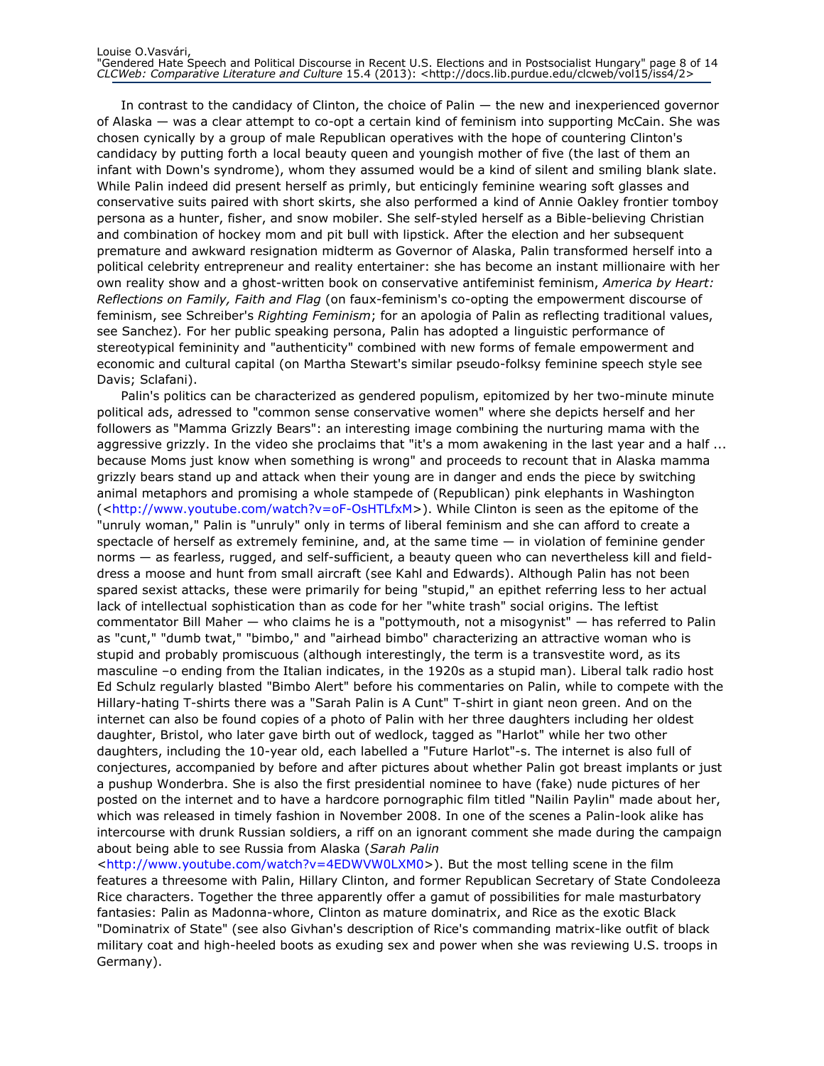In contrast to the candidacy of Clinton, the choice of Palin — the new and inexperienced governor of Alaska — was a clear attempt to co-opt a certain kind of feminism into supporting McCain. She was chosen cynically by a group of male Republican operatives with the hope of countering Clinton's candidacy by putting forth a local beauty queen and youngish mother of five (the last of them an infant with Down's syndrome), whom they assumed would be a kind of silent and smiling blank slate. While Palin indeed did present herself as primly, but enticingly feminine wearing soft glasses and conservative suits paired with short skirts, she also performed a kind of Annie Oakley frontier tomboy persona as a hunter, fisher, and snow mobiler. She self-styled herself as a Bible-believing Christian and combination of hockey mom and pit bull with lipstick. After the election and her subsequent premature and awkward resignation midterm as Governor of Alaska, Palin transformed herself into a political celebrity entrepreneur and reality entertainer: she has become an instant millionaire with her own reality show and a ghost-written book on conservative antifeminist feminism, America by Heart: Reflections on Family, Faith and Flag (on faux-feminism's co-opting the empowerment discourse of feminism, see Schreiber's Righting Feminism; for an apologia of Palin as reflecting traditional values, see Sanchez). For her public speaking persona, Palin has adopted a linguistic performance of stereotypical femininity and "authenticity" combined with new forms of female empowerment and economic and cultural capital (on Martha Stewart's similar pseudo-folksy feminine speech style see Davis; Sclafani).

Palin's politics can be characterized as gendered populism, epitomized by her two-minute minute political ads, adressed to "common sense conservative women" where she depicts herself and her followers as "Mamma Grizzly Bears": an interesting image combining the nurturing mama with the aggressive grizzly. In the video she proclaims that "it's a mom awakening in the last year and a half ... because Moms just know when something is wrong" and proceeds to recount that in Alaska mamma grizzly bears stand up and attack when their young are in danger and ends the piece by switching animal metaphors and promising a whole stampede of (Republican) pink elephants in Washington (<http://www.youtube.com/watch?v=oF-OsHTLfxM>). While Clinton is seen as the epitome of the "unruly woman," Palin is "unruly" only in terms of liberal feminism and she can afford to create a spectacle of herself as extremely feminine, and, at the same time  $-$  in violation of feminine gender norms — as fearless, rugged, and self-sufficient, a beauty queen who can nevertheless kill and fielddress a moose and hunt from small aircraft (see Kahl and Edwards). Although Palin has not been spared sexist attacks, these were primarily for being "stupid," an epithet referring less to her actual lack of intellectual sophistication than as code for her "white trash" social origins. The leftist commentator Bill Maher — who claims he is a "pottymouth, not a misogynist" — has referred to Palin as "cunt," "dumb twat," "bimbo," and "airhead bimbo" characterizing an attractive woman who is stupid and probably promiscuous (although interestingly, the term is a transvestite word, as its masculine –o ending from the Italian indicates, in the 1920s as a stupid man). Liberal talk radio host Ed Schulz regularly blasted "Bimbo Alert" before his commentaries on Palin, while to compete with the Hillary-hating T-shirts there was a "Sarah Palin is A Cunt" T-shirt in giant neon green. And on the internet can also be found copies of a photo of Palin with her three daughters including her oldest daughter, Bristol, who later gave birth out of wedlock, tagged as "Harlot" while her two other daughters, including the 10-year old, each labelled a "Future Harlot"-s. The internet is also full of conjectures, accompanied by before and after pictures about whether Palin got breast implants or just a pushup Wonderbra. She is also the first presidential nominee to have (fake) nude pictures of her posted on the internet and to have a hardcore pornographic film titled "Nailin Paylin" made about her, which was released in timely fashion in November 2008. In one of the scenes a Palin-look alike has intercourse with drunk Russian soldiers, a riff on an ignorant comment she made during the campaign about being able to see Russia from Alaska (Sarah Palin

<http://www.youtube.com/watch?v=4EDWVW0LXM0>). But the most telling scene in the film features a threesome with Palin, Hillary Clinton, and former Republican Secretary of State Condoleeza Rice characters. Together the three apparently offer a gamut of possibilities for male masturbatory fantasies: Palin as Madonna-whore, Clinton as mature dominatrix, and Rice as the exotic Black "Dominatrix of State" (see also Givhan's description of Rice's commanding matrix-like outfit of black military coat and high-heeled boots as exuding sex and power when she was reviewing U.S. troops in Germany).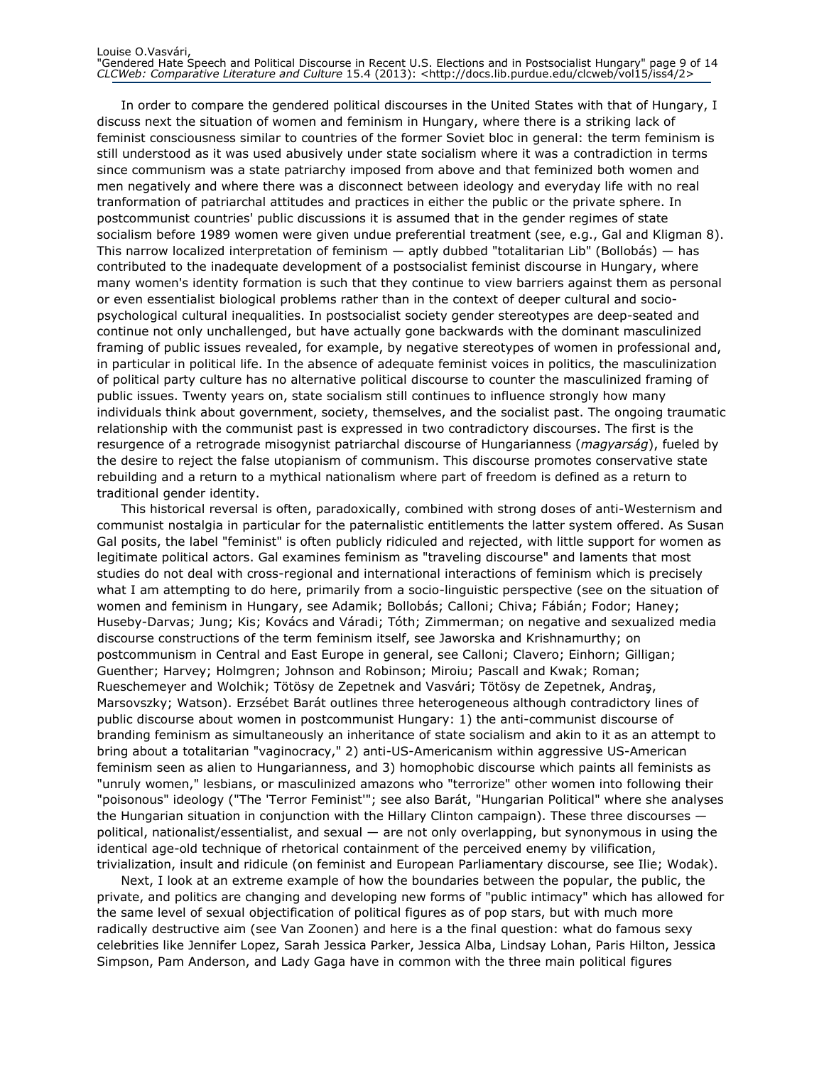In order to compare the gendered political discourses in the United States with that of Hungary, I discuss next the situation of women and feminism in Hungary, where there is a striking lack of feminist consciousness similar to countries of the former Soviet bloc in general: the term feminism is still understood as it was used abusively under state socialism where it was a contradiction in terms since communism was a state patriarchy imposed from above and that feminized both women and men negatively and where there was a disconnect between ideology and everyday life with no real tranformation of patriarchal attitudes and practices in either the public or the private sphere. In postcommunist countries' public discussions it is assumed that in the gender regimes of state socialism before 1989 women were given undue preferential treatment (see, e.g., Gal and Kligman 8). This narrow localized interpretation of feminism — aptly dubbed "totalitarian Lib" (Bollobás) — has contributed to the inadequate development of a postsocialist feminist discourse in Hungary, where many women's identity formation is such that they continue to view barriers against them as personal or even essentialist biological problems rather than in the context of deeper cultural and sociopsychological cultural inequalities. In postsocialist society gender stereotypes are deep-seated and continue not only unchallenged, but have actually gone backwards with the dominant masculinized framing of public issues revealed, for example, by negative stereotypes of women in professional and, in particular in political life. In the absence of adequate feminist voices in politics, the masculinization of political party culture has no alternative political discourse to counter the masculinized framing of public issues. Twenty years on, state socialism still continues to influence strongly how many individuals think about government, society, themselves, and the socialist past. The ongoing traumatic relationship with the communist past is expressed in two contradictory discourses. The first is the resurgence of a retrograde misogynist patriarchal discourse of Hungarianness (magyarság), fueled by the desire to reject the false utopianism of communism. This discourse promotes conservative state rebuilding and a return to a mythical nationalism where part of freedom is defined as a return to traditional gender identity.

This historical reversal is often, paradoxically, combined with strong doses of anti-Westernism and communist nostalgia in particular for the paternalistic entitlements the latter system offered. As Susan Gal posits, the label "feminist" is often publicly ridiculed and rejected, with little support for women as legitimate political actors. Gal examines feminism as "traveling discourse" and laments that most studies do not deal with cross-regional and international interactions of feminism which is precisely what I am attempting to do here, primarily from a socio-linguistic perspective (see on the situation of women and feminism in Hungary, see Adamik; Bollobás; Calloni; Chiva; Fábián; Fodor; Haney; Huseby-Darvas; Jung; Kis; Kovács and Váradi; Tóth; Zimmerman; on negative and sexualized media discourse constructions of the term feminism itself, see Jaworska and Krishnamurthy; on postcommunism in Central and East Europe in general, see Calloni; Clavero; Einhorn; Gilligan; Guenther; Harvey; Holmgren; Johnson and Robinson; Miroiu; Pascall and Kwak; Roman; Rueschemeyer and Wolchik; Tötösy de Zepetnek and Vasvári; Tötösy de Zepetnek, Andraş, Marsovszky; Watson). Erzsébet Barát outlines three heterogeneous although contradictory lines of public discourse about women in postcommunist Hungary: 1) the anti-communist discourse of branding feminism as simultaneously an inheritance of state socialism and akin to it as an attempt to bring about a totalitarian "vaginocracy," 2) anti-US-Americanism within aggressive US-American feminism seen as alien to Hungarianness, and 3) homophobic discourse which paints all feminists as "unruly women," lesbians, or masculinized amazons who "terrorize" other women into following their "poisonous" ideology ("The 'Terror Feminist'"; see also Barát, "Hungarian Political" where she analyses the Hungarian situation in conjunction with the Hillary Clinton campaign). These three discourses political, nationalist/essentialist, and sexual — are not only overlapping, but synonymous in using the identical age-old technique of rhetorical containment of the perceived enemy by vilification, trivialization, insult and ridicule (on feminist and European Parliamentary discourse, see Ilie; Wodak).

Next, I look at an extreme example of how the boundaries between the popular, the public, the private, and politics are changing and developing new forms of "public intimacy" which has allowed for the same level of sexual objectification of political figures as of pop stars, but with much more radically destructive aim (see Van Zoonen) and here is a the final question: what do famous sexy celebrities like Jennifer Lopez, Sarah Jessica Parker, Jessica Alba, Lindsay Lohan, Paris Hilton, Jessica Simpson, Pam Anderson, and Lady Gaga have in common with the three main political figures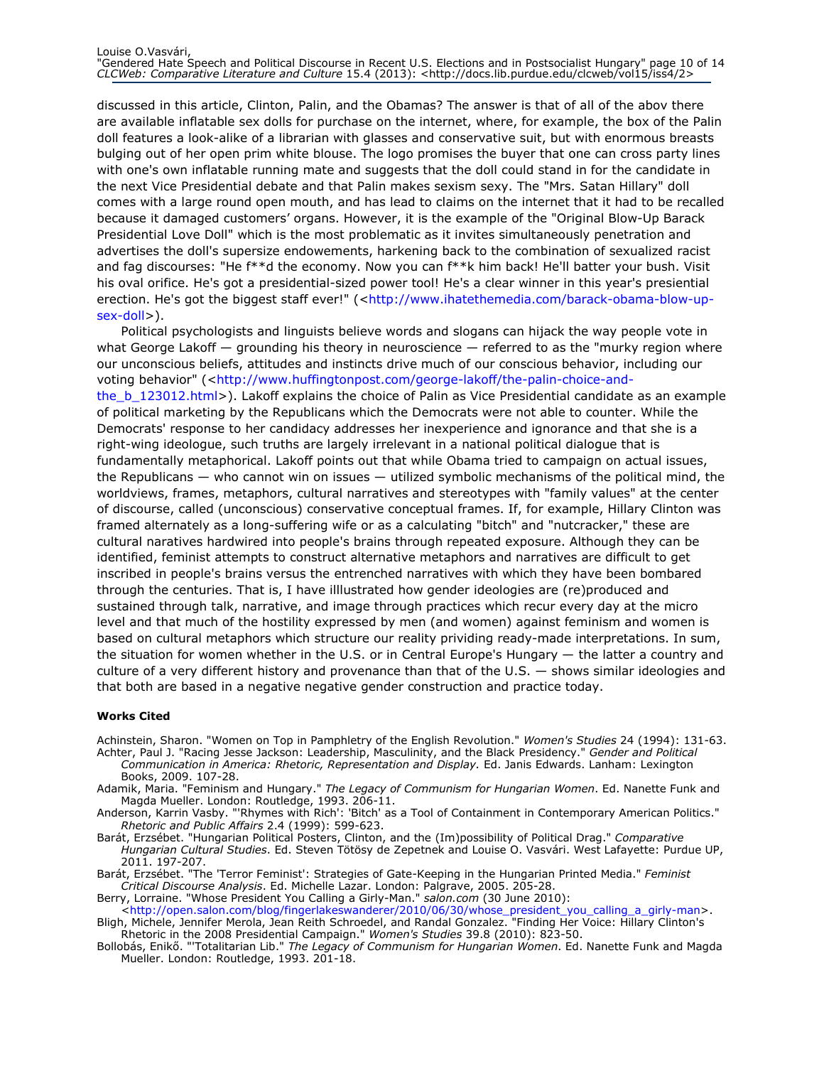discussed in this article, Clinton, Palin, and the Obamas? The answer is that of all of the abov there are available inflatable sex dolls for purchase on the internet, where, for example, the box of the Palin doll features a look-alike of a librarian with glasses and conservative suit, but with enormous breasts bulging out of her open prim white blouse. The logo promises the buyer that one can cross party lines with one's own inflatable running mate and suggests that the doll could stand in for the candidate in the next Vice Presidential debate and that Palin makes sexism sexy. The "Mrs. Satan Hillary" doll comes with a large round open mouth, and has lead to claims on the internet that it had to be recalled because it damaged customers' organs. However, it is the example of the "Original Blow-Up Barack Presidential Love Doll" which is the most problematic as it invites simultaneously penetration and advertises the doll's supersize endowements, harkening back to the combination of sexualized racist and fag discourses: "He f\*\*d the economy. Now you can f\*\*k him back! He'll batter your bush. Visit his oval orifice. He's got a presidential-sized power tool! He's a clear winner in this year's presiential erection. He's got the biggest staff ever!" (<http://www.ihatethemedia.com/barack-obama-blow-upsex-doll>).

Political psychologists and linguists believe words and slogans can hijack the way people vote in what George Lakoff — grounding his theory in neuroscience — referred to as the "murky region where our unconscious beliefs, attitudes and instincts drive much of our conscious behavior, including our voting behavior" (<http://www.huffingtonpost.com/george-lakoff/the-palin-choice-andthe b 123012.html>). Lakoff explains the choice of Palin as Vice Presidential candidate as an example of political marketing by the Republicans which the Democrats were not able to counter. While the Democrats' response to her candidacy addresses her inexperience and ignorance and that she is a right-wing ideologue, such truths are largely irrelevant in a national political dialogue that is fundamentally metaphorical. Lakoff points out that while Obama tried to campaign on actual issues, the Republicans — who cannot win on issues — utilized symbolic mechanisms of the political mind, the worldviews, frames, metaphors, cultural narratives and stereotypes with "family values" at the center of discourse, called (unconscious) conservative conceptual frames. If, for example, Hillary Clinton was framed alternately as a long-suffering wife or as a calculating "bitch" and "nutcracker," these are cultural naratives hardwired into people's brains through repeated exposure. Although they can be identified, feminist attempts to construct alternative metaphors and narratives are difficult to get inscribed in people's brains versus the entrenched narratives with which they have been bombared through the centuries. That is, I have illlustrated how gender ideologies are (re)produced and sustained through talk, narrative, and image through practices which recur every day at the micro level and that much of the hostility expressed by men (and women) against feminism and women is based on cultural metaphors which structure our reality prividing ready-made interpretations. In sum, the situation for women whether in the U.S. or in Central Europe's Hungary — the latter a country and culture of a very different history and provenance than that of the U.S. — shows similar ideologies and that both are based in a negative negative gender construction and practice today.

#### Works Cited

Achinstein, Sharon. "Women on Top in Pamphletry of the English Revolution." Women's Studies 24 (1994): 131-63. Achter, Paul J. "Racing Jesse Jackson: Leadership, Masculinity, and the Black Presidency." Gender and Political

- Communication in America: Rhetoric, Representation and Display. Ed. Janis Edwards. Lanham: Lexington Books, 2009. 107-28.
- Adamik, Maria. "Feminism and Hungary." The Legacy of Communism for Hungarian Women. Ed. Nanette Funk and Magda Mueller. London: Routledge, 1993. 206-11.
- Anderson, Karrin Vasby. "'Rhymes with Rich': 'Bitch' as a Tool of Containment in Contemporary American Politics." Rhetoric and Public Affairs 2.4 (1999): 599-623.
- Barát, Erzsébet. "Hungarian Political Posters, Clinton, and the (Im)possibility of Political Drag." Comparative Hungarian Cultural Studies. Ed. Steven Tötösy de Zepetnek and Louise O. Vasvári. West Lafayette: Purdue UP, 2011. 197-207.

Barát, Erzsébet. "The 'Terror Feminist': Strategies of Gate-Keeping in the Hungarian Printed Media." Feminist Critical Discourse Analysis. Ed. Michelle Lazar. London: Palgrave, 2005. 205-28.

Berry, Lorraine. "Whose President You Calling a Girly-Man." salon.com (30 June 2010):

<http://open.salon.com/blog/fingerlakeswanderer/2010/06/30/whose\_president\_you\_calling\_a\_girly-man>. Bligh, Michele, Jennifer Merola, Jean Reith Schroedel, and Randal Gonzalez. "Finding Her Voice: Hillary Clinton's Rhetoric in the 2008 Presidential Campaign." Women's Studies 39.8 (2010): 823-50.

Bollobás, Enikő. "'Totalitarian Lib." The Legacy of Communism for Hungarian Women. Ed. Nanette Funk and Magda Mueller. London: Routledge, 1993. 201-18.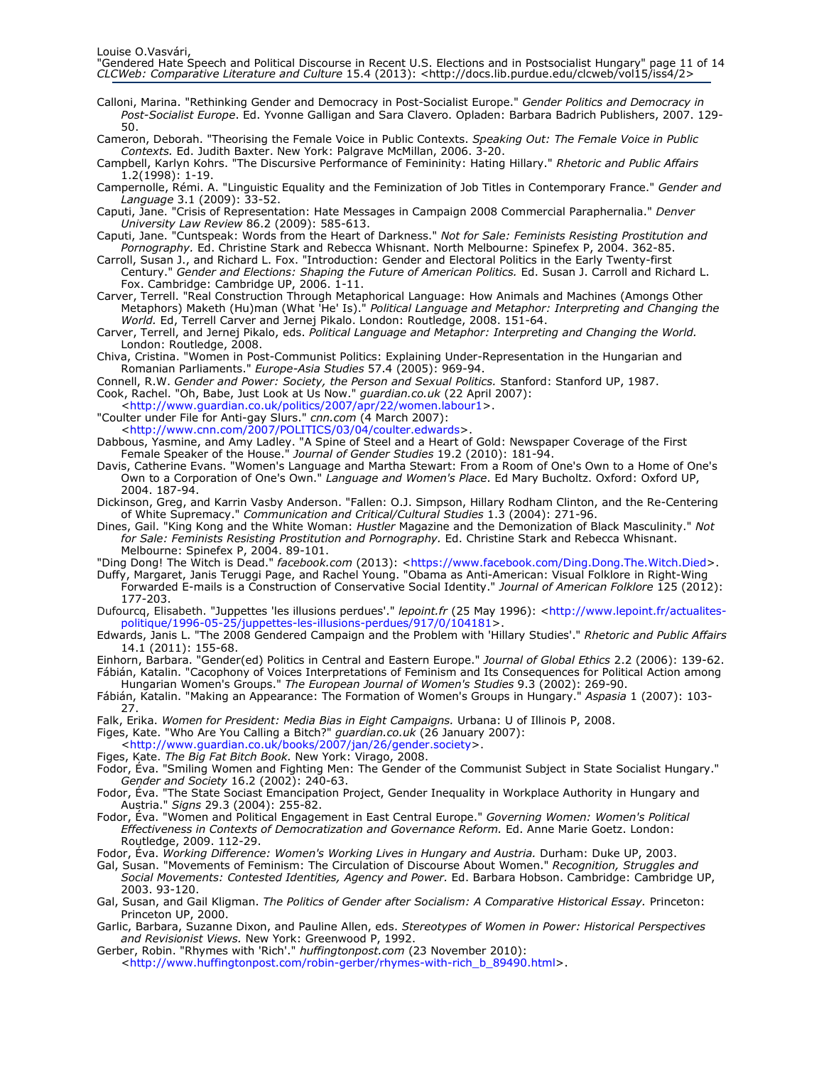- Calloni, Marina. "Rethinking Gender and Democracy in Post-Socialist Europe." Gender Politics and Democracy in Post-Socialist Europe. Ed. Yvonne Galligan and Sara Clavero. Opladen: Barbara Badrich Publishers, 2007. 129- 50.
- Cameron, Deborah. "Theorising the Female Voice in Public Contexts. Speaking Out: The Female Voice in Public Contexts. Ed. Judith Baxter. New York: Palgrave McMillan, 2006. 3-20.

Campbell, Karlyn Kohrs. "The Discursive Performance of Femininity: Hating Hillary." Rhetoric and Public Affairs 1.2(1998): 1-19.

Campernolle, Rémi. A. "Linguistic Equality and the Feminization of Job Titles in Contemporary France." Gender and Language 3.1 (2009): 33-52.

- Caputi, Jane. "Crisis of Representation: Hate Messages in Campaign 2008 Commercial Paraphernalia." Denver University Law Review 86.2 (2009): 585-613.
- Caputi, Jane. "Cuntspeak: Words from the Heart of Darkness." Not for Sale: Feminists Resisting Prostitution and Pornography. Ed. Christine Stark and Rebecca Whisnant. North Melbourne: Spinefex P, 2004. 362-85.
- Carroll, Susan J., and Richard L. Fox. "Introduction: Gender and Electoral Politics in the Early Twenty-first Century." Gender and Elections: Shaping the Future of American Politics. Ed. Susan J. Carroll and Richard L. Fox. Cambridge: Cambridge UP, 2006. 1-11.
- Carver, Terrell. "Real Construction Through Metaphorical Language: How Animals and Machines (Amongs Other Metaphors) Maketh (Hu)man (What <sup>T</sup>He' Is).<sup>"</sup> Political Language and Metaphor: Interpreting and Changing the World. Ed, Terrell Carver and Jernej Pikalo. London: Routledge, 2008. 151-64.
- Carver, Terrell, and Jernej Pikalo, eds. Political Language and Metaphor: Interpreting and Changing the World. London: Routledge, 2008.
- Chiva, Cristina. "Women in Post-Communist Politics: Explaining Under-Representation in the Hungarian and Romanian Parliaments." Europe-Asia Studies 57.4 (2005): 969-94.
- Connell, R.W. Gender and Power: Society, the Person and Sexual Politics. Stanford: Stanford UP, 1987. Cook, Rachel. "Oh, Babe, Just Look at Us Now." guardian.co.uk (22 April 2007):
- <http://www.guardian.co.uk/politics/2007/apr/22/women.labour1>.
- "Coulter under File for Anti-gay Slurs." cnn.com (4 March 2007):

<http://www.cnn.com/2007/POLITICS/03/04/coulter.edwards>.

- Dabbous, Yasmine, and Amy Ladley. "A Spine of Steel and a Heart of Gold: Newspaper Coverage of the First Female Speaker of the House." Journal of Gender Studies 19.2 (2010): 181-94.
- Davis, Catherine Evans. "Women's Language and Martha Stewart: From a Room of One's Own to a Home of One's Own to a Corporation of One's Own." Language and Women's Place. Ed Mary Bucholtz. Oxford: Oxford UP, 2004. 187-94.
- Dickinson, Greg, and Karrin Vasby Anderson. "Fallen: O.J. Simpson, Hillary Rodham Clinton, and the Re-Centering of White Supremacy." Communication and Critical/Cultural Studies 1.3 (2004): 271-96.
- Dines, Gail. "King Kong and the White Woman: Hustler Magazine and the Demonization of Black Masculinity." Not for Sale: Feminists Resisting Prostitution and Pornography. Ed. Christine Stark and Rebecca Whisnant. Melbourne: Spinefex P, 2004. 89-101.
- "Ding Dong! The Witch is Dead." facebook.com (2013): <https://www.facebook.com/Ding.Dong.The.Witch.Died>.
- Duffy, Margaret, Janis Teruggi Page, and Rachel Young. "Obama as Anti-American: Visual Folklore in Right-Wing Forwarded E-mails is a Construction of Conservative Social Identity." Journal of American Folklore 125 (2012): 177-203.
- Dufourcq, Elisabeth. "Juppettes 'les illusions perdues'." lepoint.fr (25 May 1996): <http://www.lepoint.fr/actualitespolitique/1996-05-25/juppettes-les-illusions-perdues/917/0/104181>.
- Edwards, Janis L. "The 2008 Gendered Campaign and the Problem with 'Hillary Studies'." Rhetoric and Public Affairs 14.1 (2011): 155-68.
- Einhorn, Barbara. "Gender(ed) Politics in Central and Eastern Europe." Journal of Global Ethics 2.2 (2006): 139-62. Fábián, Katalin. "Cacophony of Voices Interpretations of Feminism and Its Consequences for Political Action among Hungarian Women's Groups." The European Journal of Women's Studies 9.3 (2002): 269-90.
- Fábián, Katalin. "Making an Appearance: The Formation of Women's Groups in Hungary." Aspasia 1 (2007): 103-27.
- Falk, Erika. Women for President: Media Bias in Eight Campaigns. Urbana: U of Illinois P, 2008.
- Figes, Kate. "Who Are You Calling a Bitch?" guardian.co.uk (26 January 2007):
- <http://www.guardian.co.uk/books/2007/jan/26/gender.society>.
- Figes, Kate. The Big Fat Bitch Book. New York: Virago, 2008.
- Fodor, Éva. "Smiling Women and Fighting Men: The Gender of the Communist Subject in State Socialist Hungary." Gender and Society 16.2 (2002): 240-63.
- Fodor, Éva. "The State Sociast Emancipation Project, Gender Inequality in Workplace Authority in Hungary and Austria." Signs 29.3 (2004): 255-82.
- Fodor, Éva. "Women and Political Engagement in East Central Europe." Governing Women: Women's Political Effectiveness in Contexts of Democratization and Governance Reform. Ed. Anne Marie Goetz. London: Routledge, 2009. 112-29.
- Fodor, Éva. Working Difference: Women's Working Lives in Hungary and Austria. Durham: Duke UP, 2003.
- Gal, Susan. "Movements of Feminism: The Circulation of Discourse About Women." Recognition, Struggles and Social Movements: Contested Identities, Agency and Power. Ed. Barbara Hobson. Cambridge: Cambridge UP, 2003. 93-120.
- Gal, Susan, and Gail Kligman. The Politics of Gender after Socialism: A Comparative Historical Essay. Princeton: Princeton UP, 2000.
- Garlic, Barbara, Suzanne Dixon, and Pauline Allen, eds. Stereotypes of Women in Power: Historical Perspectives and Revisionist Views. New York: Greenwood P, 1992.
- Gerber, Robin. "Rhymes with 'Rich'." huffingtonpost.com (23 November 2010): <http://www.huffingtonpost.com/robin-gerber/rhymes-with-rich\_b\_89490.html>.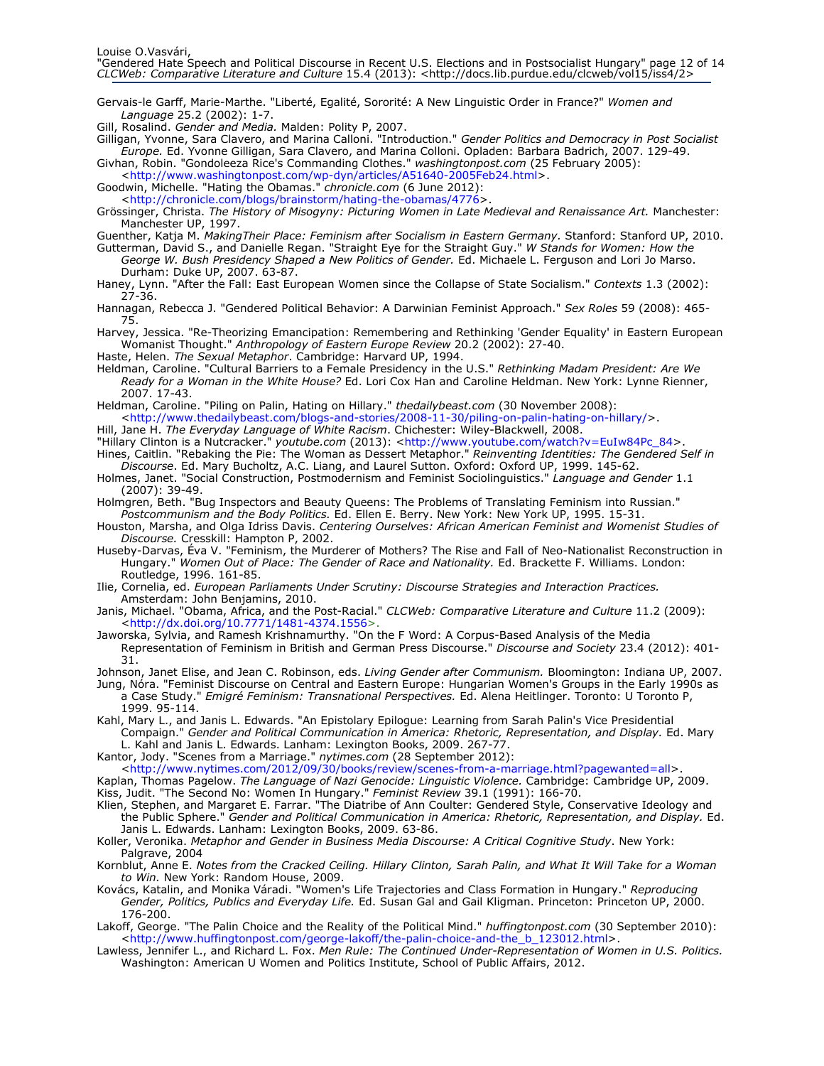Gervais-le Garff, Marie-Marthe. "Liberté, Egalité, Sororité: A New Linguistic Order in France?" Women and Language 25.2 (2002): 1-7.

Gill, Rosalind. Gender and Media. Malden: Polity P, 2007.

Gilligan, Yvonne, Sara Clavero, and Marina Calloni. "Introduction." Gender Politics and Democracy in Post Socialist Europe. Ed. Yvonne Gilligan, Sara Clavero, and Marina Colloni. Opladen: Barbara Badrich, 2007. 129-49. Givhan, Robin. "Gondoleeza Rice's Commanding Clothes." washingtonpost.com (25 February 2005):

<http://www.washingtonpost.com/wp-dyn/articles/A51640-2005Feb24.html>.

Goodwin, Michelle. "Hating the Obamas." chronicle.com (6 June 2012):

<http://chronicle.com/blogs/brainstorm/hating-the-obamas/4776>.

Grössinger, Christa. The History of Misogyny: Picturing Women in Late Medieval and Renaissance Art. Manchester: Manchester UP, 1997.

Guenther, Katja M. MakingTheir Place: Feminism after Socialism in Eastern Germany. Stanford: Stanford UP, 2010.

Gutterman, David S., and Danielle Regan. "Straight Eye for the Straight Guy." W Stands for Women: How the George W. Bush Presidency Shaped a New Politics of Gender. Ed. Michaele L. Ferguson and Lori Jo Marso. Durham: Duke UP, 2007. 63-87.

Haney, Lynn. "After the Fall: East European Women since the Collapse of State Socialism." Contexts 1.3 (2002): 27-36.

Hannagan, Rebecca J. "Gendered Political Behavior: A Darwinian Feminist Approach." Sex Roles 59 (2008): 465-75.

Harvey, Jessica. "Re-Theorizing Emancipation: Remembering and Rethinking 'Gender Equality' in Eastern European Womanist Thought." Anthropology of Eastern Europe Review 20.2 (2002): 27-40.

Haste, Helen. The Sexual Metaphor. Cambridge: Harvard UP, 1994.

Heldman, Caroline. "Cultural Barriers to a Female Presidency in the U.S." Rethinking Madam President: Are We Ready for a Woman in the White House? Ed. Lori Cox Han and Caroline Heldman. New York: Lynne Rienner, 2007. 17-43.

Heldman, Caroline. "Piling on Palin, Hating on Hillary." thedailybeast.com (30 November 2008):

<http://www.thedailybeast.com/blogs-and-stories/2008-11-30/piling-on-palin-hating-on-hillary/>. Hill, Jane H. The Everyday Language of White Racism. Chichester: Wiley-Blackwell, 2008.

"Hillary Clinton is a Nutcracker." youtube.com (2013): <http://www.youtube.com/watch?v=EuIw84Pc\_84>. Hines, Caitlin. "Rebaking the Pie: The Woman as Dessert Metaphor." *Reinventing Identities: The Gendered Self in* 

Discourse. Ed. Mary Bucholtz, A.C. Liang, and Laurel Sutton. Oxford: Oxford UP, 1999. 145-62.

Holmes, Janet. "Social Construction, Postmodernism and Feminist Sociolinguistics." Language and Gender 1.1 (2007): 39-49.

Holmgren, Beth. "Bug Inspectors and Beauty Queens: The Problems of Translating Feminism into Russian." Postcommunism and the Body Politics. Ed. Ellen E. Berry. New York: New York UP, 1995. 15-31.

Houston, Marsha, and Olga Idriss Davis. Centering Ourselves: African American Feminist and Womenist Studies of Discourse. Cresskill: Hampton P, 2002.

Huseby-Darvas, Éva V. "Feminism, the Murderer of Mothers? The Rise and Fall of Neo-Nationalist Reconstruction in Hungary." Women Out of Place: The Gender of Race and Nationality. Ed. Brackette F. Williams. London: Routledge, 1996. 161-85.

Ilie, Cornelia, ed. European Parliaments Under Scrutiny: Discourse Strategies and Interaction Practices. Amsterdam: John Benjamins, 2010.

Janis, Michael. "Obama, Africa, and the Post-Racial." CLCWeb: Comparative Literature and Culture 11.2 (2009): <http://dx.doi.org/10.7771/1481-4374.1556>.

Jaworska, Sylvia, and Ramesh Krishnamurthy. "On the F Word: A Corpus-Based Analysis of the Media Representation of Feminism in British and German Press Discourse." Discourse and Society 23.4 (2012): 401-31.

Johnson, Janet Elise, and Jean C. Robinson, eds. Living Gender after Communism. Bloomington: Indiana UP, 2007.

Jung, Nóra. "Feminist Discourse on Central and Eastern Europe: Hungarian Women's Groups in the Early 1990s as a Case Study." Emigré Feminism: Transnational Perspectives. Ed. Alena Heitlinger. Toronto: U Toronto P, 1999. 95-114.

Kahl, Mary L., and Janis L. Edwards. "An Epistolary Epilogue: Learning from Sarah Palin's Vice Presidential Compaign." Gender and Political Communication in America: Rhetoric, Representation, and Display. Ed. Mary L. Kahl and Janis L. Edwards. Lanham: Lexington Books, 2009. 267-77.

Kantor, Jody. "Scenes from a Marriage." nytimes.com (28 September 2012):

<http://www.nytimes.com/2012/09/30/books/review/scenes-from-a-marriage.html?pagewanted=all>.

Kaplan, Thomas Pagelow. The Language of Nazi Genocide: Linguistic Violence. Cambridge: Cambridge UP, 2009. Kiss, Judit. "The Second No: Women In Hungary." Feminist Review 39.1 (1991): 166-70.

Klien, Stephen, and Margaret E. Farrar. "The Diatribe of Ann Coulter: Gendered Style, Conservative Ideology and the Public Sphere." Gender and Political Communication in America: Rhetoric, Representation, and Display. Ed. Janis L. Edwards. Lanham: Lexington Books, 2009. 63-86.

Koller, Veronika. Metaphor and Gender in Business Media Discourse: A Critical Cognitive Study. New York: Palgrave, 2004

Kornblut, Anne E. Notes from the Cracked Ceiling. Hillary Clinton, Sarah Palin, and What It Will Take for a Woman to Win. New York: Random House, 2009.

Kovács, Katalin, and Monika Váradi. "Women's Life Trajectories and Class Formation in Hungary." Reproducing Gender, Politics, Publics and Everyday Life. Ed. Susan Gal and Gail Kligman. Princeton: Princeton UP, 2000. 176-200.

Lakoff, George. "The Palin Choice and the Reality of the Political Mind." huffingtonpost.com (30 September 2010): <http://www.huffingtonpost.com/george-lakoff/the-palin-choice-and-the\_b\_123012.html>.

Lawless, Jennifer L., and Richard L. Fox. Men Rule: The Continued Under-Representation of Women in U.S. Politics. Washington: American U Women and Politics Institute, School of Public Affairs, 2012.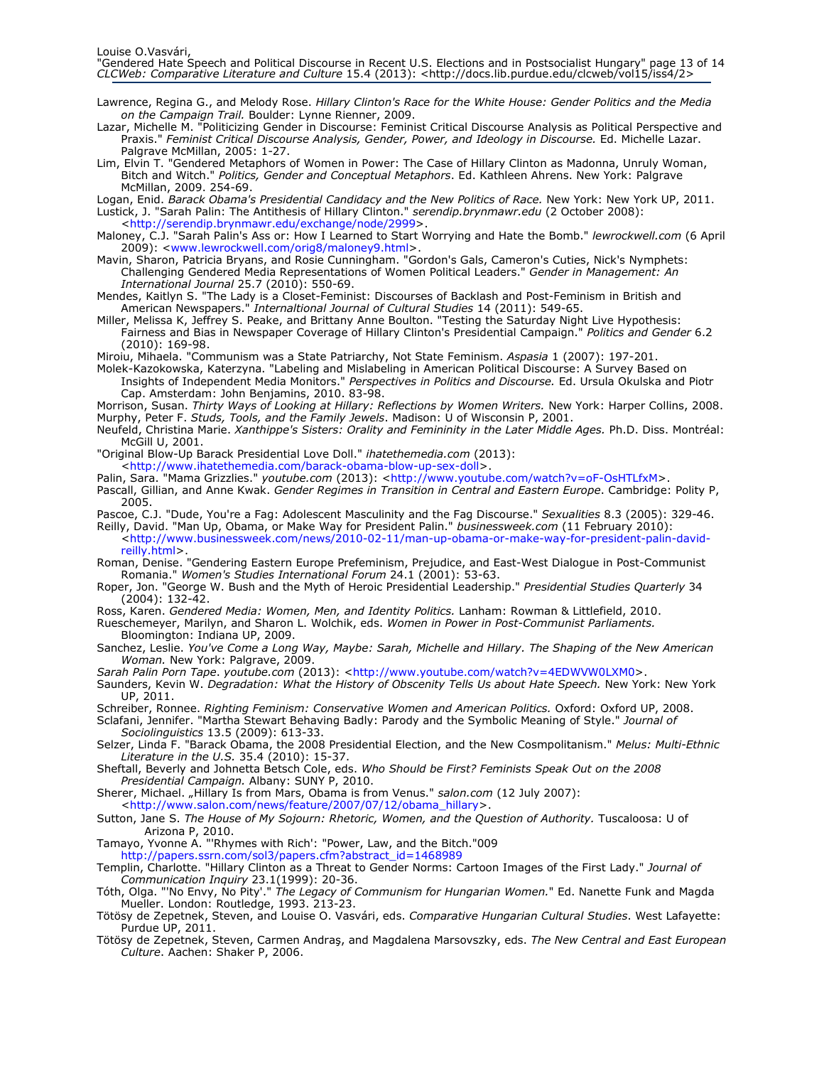- Lawrence, Regina G., and Melody Rose. Hillary Clinton's Race for the White House: Gender Politics and the Media on the Campaign Trail. Boulder: Lynne Rienner, 2009.
- Lazar, Michelle M. "Politicizing Gender in Discourse: Feminist Critical Discourse Analysis as Political Perspective and Praxis." Feminist Critical Discourse Analysis, Gender, Power, and Ideology in Discourse. Ed. Michelle Lazar. Palgrave McMillan, 2005: 1-27.
- Lim, Elvin T. "Gendered Metaphors of Women in Power: The Case of Hillary Clinton as Madonna, Unruly Woman, Bitch and Witch." Politics, Gender and Conceptual Metaphors. Ed. Kathleen Ahrens. New York: Palgrave McMillan, 2009. 254-69.

Logan, Enid. Barack Obama's Presidential Candidacy and the New Politics of Race. New York: New York UP, 2011. Lustick, J. "Sarah Palin: The Antithesis of Hillary Clinton." serendip.brynmawr.edu (2 October 2008):

<http://serendip.brynmawr.edu/exchange/node/2999>.

- Maloney, C.J. "Sarah Palin's Ass or: How I Learned to Start Worrying and Hate the Bomb." lewrockwell.com (6 April 2009): <www.lewrockwell.com/orig8/maloney9.html>.
- Mavin, Sharon, Patricia Bryans, and Rosie Cunningham. "Gordon's Gals, Cameron's Cuties, Nick's Nymphets: Challenging Gendered Media Representations of Women Political Leaders." Gender in Management: An International Journal 25.7 (2010): 550-69.
- Mendes, Kaitlyn S. "The Lady is a Closet-Feminist: Discourses of Backlash and Post-Feminism in British and American Newspapers." *Internaltional Journal of Cultural Studies* 14 (2011): 549-65.
- Miller, Melissa K, Jeffrey S. Peake, and Brittany Anne Boulton. "Testing the Saturday Night Live Hypothesis: Fairness and Bias in Newspaper Coverage of Hillary Clinton's Presidential Campaign." Politics and Gender 6.2 (2010): 169-98.
- Miroiu, Mihaela. "Communism was a State Patriarchy, Not State Feminism. Aspasia 1 (2007): 197-201.
- Molek-Kazokowska, Katerzyna. "Labeling and Mislabeling in American Political Discourse: A Survey Based on Insights of Independent Media Monitors." Perspectives in Politics and Discourse. Ed. Ursula Okulska and Piotr Cap. Amsterdam: John Benjamins, 2010. 83-98.
- Morrison, Susan. Thirty Ways of Looking at Hillary: Reflections by Women Writers. New York: Harper Collins, 2008. Murphy, Peter F. Studs, Tools, and the Family Jewels. Madison: U of Wisconsin P, 2001.
- Neufeld, Christina Marie. Xanthippe's Sisters: Orality and Femininity in the Later Middle Ages. Ph.D. Diss. Montréal: McGill U, 2001.
- "Original Blow-Up Barack Presidential Love Doll." ihatethemedia.com (2013): <http://www.ihatethemedia.com/barack-obama-blow-up-sex-doll>.
- Palin, Sara. "Mama Grizzlies." youtube.com (2013): <http://www.youtube.com/watch?v=oF-OsHTLfxM>.
- Pascall, Gillian, and Anne Kwak. Gender Regimes in Transition in Central and Eastern Europe. Cambridge: Polity P, 2005.
- Pascoe, C.J. "Dude, You're a Fag: Adolescent Masculinity and the Fag Discourse." Sexualities 8.3 (2005): 329-46.
- Reilly, David. "Man Up, Obama, or Make Way for President Palin." businessweek.com (11 February 2010): <http://www.businessweek.com/news/2010-02-11/man-up-obama-or-make-way-for-president-palin-davidreilly.html>.
- Roman, Denise. "Gendering Eastern Europe Prefeminism, Prejudice, and East-West Dialogue in Post-Communist Romania." Women's Studies International Forum 24.1 (2001): 53-63.
- Roper, Jon. "George W. Bush and the Myth of Heroic Presidential Leadership." Presidential Studies Quarterly 34 (2004): 132-42.
- Ross, Karen. Gendered Media: Women, Men, and Identity Politics. Lanham: Rowman & Littlefield, 2010.
- Rueschemeyer, Marilyn, and Sharon L. Wolchik, eds. Women in Power in Post-Communist Parliaments. Bloomington: Indiana UP, 2009.
- Sanchez, Leslie. You've Come a Long Way, Maybe: Sarah, Michelle and Hillary. The Shaping of the New American Woman. New York: Palgrave, 2009.
- Sarah Palin Porn Tape. youtube.com (2013): <http://www.youtube.com/watch?v=4EDWVW0LXM0>.
- Saunders, Kevin W. Degradation: What the History of Obscenity Tells Us about Hate Speech. New York: New York UP, 2011.
- Schreiber, Ronnee. Righting Feminism: Conservative Women and American Politics. Oxford: Oxford UP, 2008. Sclafani, Jennifer. "Martha Stewart Behaving Badly: Parody and the Symbolic Meaning of Style." Journal of
- Sociolinguistics 13.5 (2009): 613-33.
- Selzer, Linda F. "Barack Obama, the 2008 Presidential Election, and the New Cosmpolitanism." Melus: Multi-Ethnic Literature in the U.S. 35.4 (2010): 15-37.
- Sheftall, Beverly and Johnetta Betsch Cole, eds. Who Should be First? Feminists Speak Out on the 2008 Presidential Campaign. Albany: SUNY P, 2010.
- Sherer, Michael. "Hillary Is from Mars, Obama is from Venus." salon.com (12 July 2007): <http://www.salon.com/news/feature/2007/07/12/obama\_hillary>.
- Sutton, Jane S. The House of My Sojourn: Rhetoric, Women, and the Question of Authority. Tuscaloosa: U of Arizona P, 2010.

Tamayo, Yvonne A. "'Rhymes with Rich': "Power, Law, and the Bitch."009 http://papers.ssrn.com/sol3/papers.cfm?abstract\_id=1468989

- Templin, Charlotte. "Hillary Clinton as a Threat to Gender Norms: Cartoon Images of the First Lady." Journal of Communication Inquiry 23.1(1999): 20-36.
- Tóth, Olga. "'No Envy, No Pity'." The Legacy of Communism for Hungarian Women." Ed. Nanette Funk and Magda Mueller. London: Routledge, 1993. 213-23.
- Tötösy de Zepetnek, Steven, and Louise O. Vasvári, eds. Comparative Hungarian Cultural Studies. West Lafayette: Purdue UP, 2011.
- Tötösy de Zepetnek, Steven, Carmen Andraş, and Magdalena Marsovszky, eds. The New Central and East European Culture. Aachen: Shaker P, 2006.